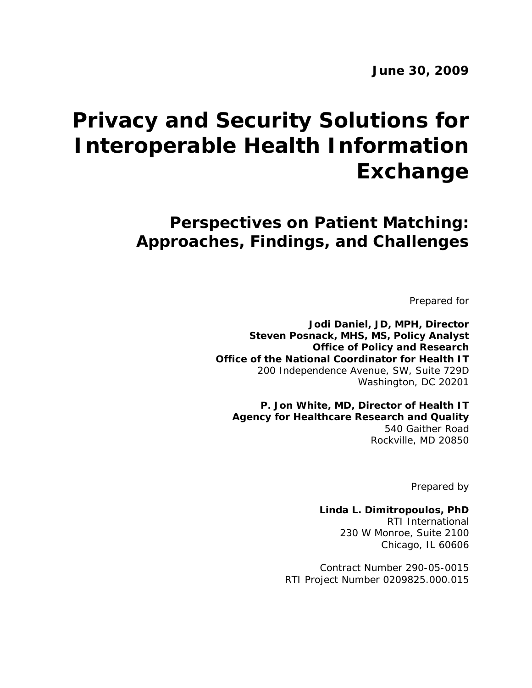# **Privacy and Security Solutions for Interoperable Health Information Exchange**

**Perspectives on Patient Matching: Approaches, Findings, and Challenges** 

Prepared for

**Jodi Daniel, JD, MPH, Director Steven Posnack, MHS, MS, Policy Analyst Office of Policy and Research Office of the National Coordinator for Health IT**  200 Independence Avenue, SW, Suite 729D Washington, DC 20201

**P. Jon White, MD, Director of Health IT Agency for Healthcare Research and Quality**  540 Gaither Road Rockville, MD 20850

Prepared by

**Linda L. Dimitropoulos, PhD**  RTI International 230 W Monroe, Suite 2100 Chicago, IL 60606

Contract Number 290-05-0015 RTI Project Number 0209825.000.015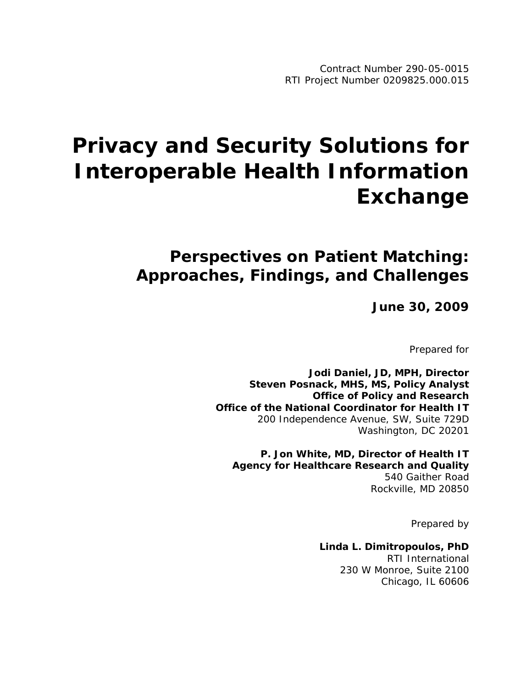# **Privacy and Security Solutions for Interoperable Health Information Exchange**

# **Perspectives on Patient Matching: Approaches, Findings, and Challenges**

**June 30, 2009**

Prepared for

**Jodi Daniel, JD, MPH, Director Steven Posnack, MHS, MS, Policy Analyst Office of Policy and Research Office of the National Coordinator for Health IT**  200 Independence Avenue, SW, Suite 729D Washington, DC 20201

**P. Jon White, MD, Director of Health IT Agency for Healthcare Research and Quality**  540 Gaither Road Rockville, MD 20850

Prepared by

**Linda L. Dimitropoulos, PhD**  RTI International 230 W Monroe, Suite 2100 Chicago, IL 60606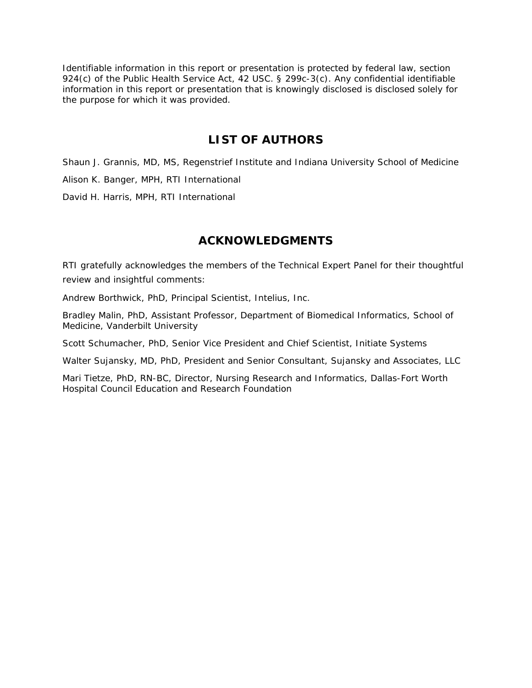Identifiable information in this report or presentation is protected by federal law, section 924(c) of the Public Health Service Act, 42 USC. § 299c-3(c). Any confidential identifiable information in this report or presentation that is knowingly disclosed is disclosed solely for the purpose for which it was provided.

# **LIST OF AUTHORS**

Shaun J. Grannis, MD, MS, Regenstrief Institute and Indiana University School of Medicine Alison K. Banger, MPH, RTI International

David H. Harris, MPH, RTI International

# **ACKNOWLEDGMENTS**

RTI gratefully acknowledges the members of the Technical Expert Panel for their thoughtful review and insightful comments:

Andrew Borthwick, PhD, Principal Scientist, Intelius, Inc.

Bradley Malin, PhD, Assistant Professor, Department of Biomedical Informatics, School of Medicine, Vanderbilt University

Scott Schumacher, PhD, Senior Vice President and Chief Scientist, Initiate Systems

Walter Sujansky, MD, PhD, President and Senior Consultant, Sujansky and Associates, LLC

Mari Tietze, PhD, RN-BC, Director, Nursing Research and Informatics, Dallas-Fort Worth Hospital Council Education and Research Foundation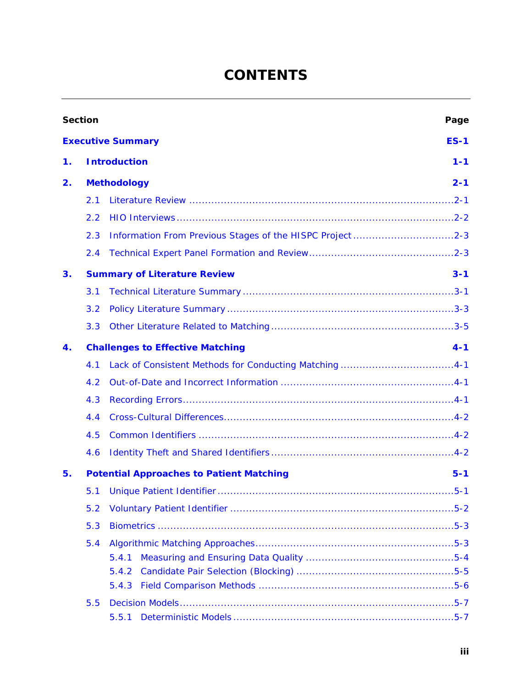# **CONTENTS**

| <b>Section</b> |     | Page                                                       |
|----------------|-----|------------------------------------------------------------|
|                |     | <b>Executive Summary</b><br>$ES-1$                         |
| 1.             |     | <b>Introduction</b><br>$1 - 1$                             |
| 2.             |     | <b>Methodology</b><br>$2 - 1$                              |
|                | 2.1 |                                                            |
|                | 2.2 |                                                            |
|                | 2.3 |                                                            |
|                | 2.4 |                                                            |
| 3.             |     | <b>Summary of Literature Review</b><br>$3 - 1$             |
|                | 3.1 |                                                            |
|                | 3.2 |                                                            |
|                | 3.3 |                                                            |
| 4.             |     | <b>Challenges to Effective Matching</b><br>$4 - 1$         |
|                | 4.1 |                                                            |
|                | 4.2 |                                                            |
|                | 4.3 |                                                            |
|                | 4.4 |                                                            |
|                | 4.5 |                                                            |
|                | 4.6 |                                                            |
| 5.             |     | <b>Potential Approaches to Patient Matching</b><br>$5 - 1$ |
|                | 5.1 |                                                            |
|                | 5.2 |                                                            |
| 5.3            |     |                                                            |
|                | 5.4 | 5.4.1<br>5.4.2<br>5.4.3                                    |
|                | 5.5 | 5.5.1                                                      |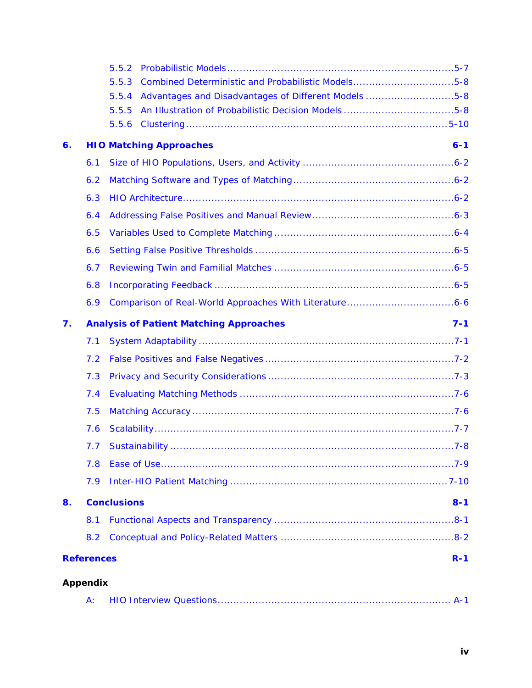|    |                   | 5.5.2                                                         |  |  |
|----|-------------------|---------------------------------------------------------------|--|--|
|    |                   | Combined Deterministic and Probabilistic Models5-8<br>5.5.3   |  |  |
|    |                   | Advantages and Disadvantages of Different Models 5-8<br>5.5.4 |  |  |
|    |                   | An Illustration of Probabilistic Decision Models5-8<br>5.5.5  |  |  |
|    |                   | 5.5.6                                                         |  |  |
| 6. |                   | <b>HIO Matching Approaches</b><br>$6 - 1$                     |  |  |
|    | 6.1               |                                                               |  |  |
|    | 6.2               |                                                               |  |  |
|    | 6.3               |                                                               |  |  |
|    | 6.4               |                                                               |  |  |
|    | 6.5               |                                                               |  |  |
|    | 6.6               |                                                               |  |  |
|    | 6.7               |                                                               |  |  |
|    | 6.8               |                                                               |  |  |
|    | 6.9               |                                                               |  |  |
| 7. |                   | $7 - 1$<br><b>Analysis of Patient Matching Approaches</b>     |  |  |
|    | 7.1               |                                                               |  |  |
|    | 7.2               |                                                               |  |  |
|    | 7.3               |                                                               |  |  |
|    | 7.4               |                                                               |  |  |
|    | 7.5               |                                                               |  |  |
|    | 7.6               |                                                               |  |  |
|    |                   | 7.7 Sustainability …………………………………………………………………………………7-8         |  |  |
|    | 7.8               |                                                               |  |  |
|    | 7.9               |                                                               |  |  |
| 8. |                   | <b>Conclusions</b><br>$8 - 1$                                 |  |  |
|    | 8.1               |                                                               |  |  |
|    | 8.2               |                                                               |  |  |
|    | <b>References</b> | $R-1$                                                         |  |  |
|    |                   |                                                               |  |  |
|    | <b>Appendix</b>   |                                                               |  |  |

|--|--|--|--|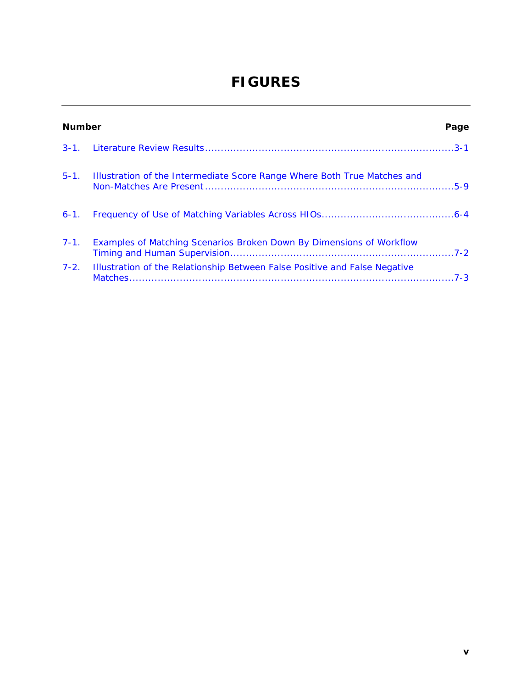# **FIGURES**

|          | <b>Number</b><br>Page                                                         |  |  |
|----------|-------------------------------------------------------------------------------|--|--|
|          |                                                                               |  |  |
|          | 5-1. Illustration of the Intermediate Score Range Where Both True Matches and |  |  |
|          |                                                                               |  |  |
| $7 - 1.$ | Examples of Matching Scenarios Broken Down By Dimensions of Workflow          |  |  |
| $7-2.$   | Illustration of the Relationship Between False Positive and False Negative    |  |  |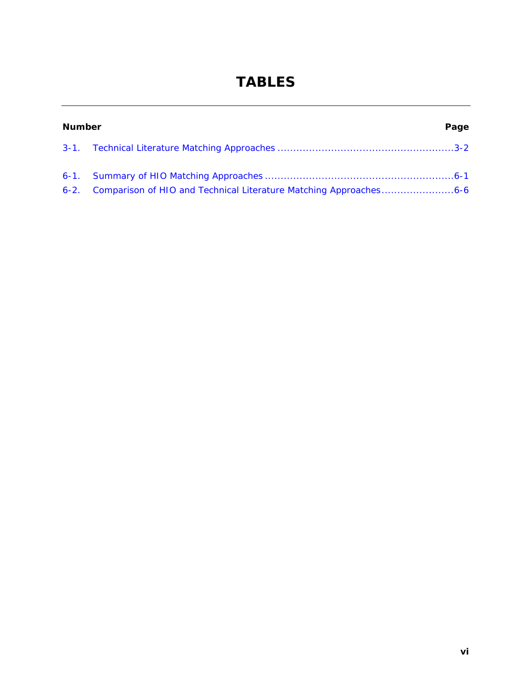# **TABLES**

| <b>Number</b><br>Page |                                                                        |  |
|-----------------------|------------------------------------------------------------------------|--|
|                       |                                                                        |  |
|                       |                                                                        |  |
|                       | 6-2. Comparison of HIO and Technical Literature Matching Approaches6-6 |  |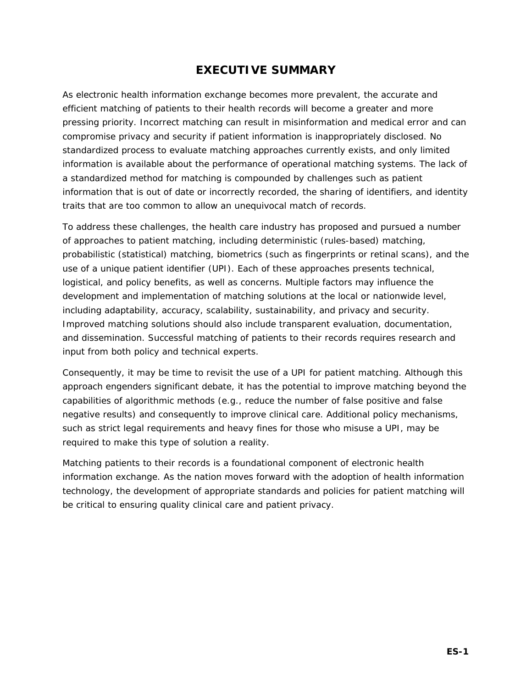# **EXECUTIVE SUMMARY**

<span id="page-7-0"></span>As electronic health information exchange becomes more prevalent, the accurate and efficient matching of patients to their health records will become a greater and more pressing priority. Incorrect matching can result in misinformation and medical error and can compromise privacy and security if patient information is inappropriately disclosed. No standardized process to evaluate matching approaches currently exists, and only limited information is available about the performance of operational matching systems. The lack of a standardized method for matching is compounded by challenges such as patient information that is out of date or incorrectly recorded, the sharing of identifiers, and identity traits that are too common to allow an unequivocal match of records.

To address these challenges, the health care industry has proposed and pursued a number of approaches to patient matching, including deterministic (rules-based) matching, probabilistic (statistical) matching, biometrics (such as fingerprints or retinal scans), and the use of a unique patient identifier (UPI). Each of these approaches presents technical, logistical, and policy benefits, as well as concerns. Multiple factors may influence the development and implementation of matching solutions at the local or nationwide level, including adaptability, accuracy, scalability, sustainability, and privacy and security. Improved matching solutions should also include transparent evaluation, documentation, and dissemination. Successful matching of patients to their records requires research and input from both policy and technical experts.

Consequently, it may be time to revisit the use of a UPI for patient matching. Although this approach engenders significant debate, it has the potential to improve matching beyond the capabilities of algorithmic methods (e.g., reduce the number of false positive and false negative results) and consequently to improve clinical care. Additional policy mechanisms, such as strict legal requirements and heavy fines for those who misuse a UPI, may be required to make this type of solution a reality.

Matching patients to their records is a foundational component of electronic health information exchange. As the nation moves forward with the adoption of health information technology, the development of appropriate standards and policies for patient matching will be critical to ensuring quality clinical care and patient privacy.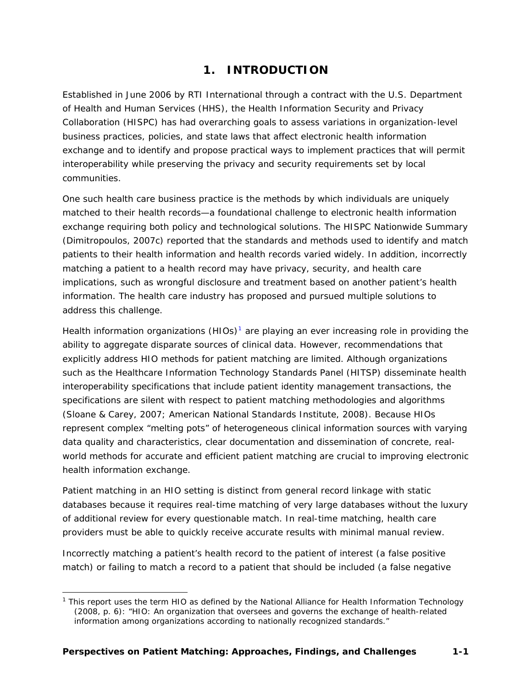# **1. INTRODUCTION**

<span id="page-8-0"></span>Established in June 2006 by RTI International through a contract with the U.S. Department of Health and Human Services (HHS), the Health Information Security and Privacy Collaboration (HISPC) has had overarching goals to assess variations in organization-level business practices, policies, and state laws that affect electronic health information exchange and to identify and propose practical ways to implement practices that will permit interoperability while preserving the privacy and security requirements set by local communities.

One such health care business practice is the methods by which individuals are uniquely matched to their health records—a foundational challenge to electronic health information exchange requiring both policy and technological solutions. The HISPC *Nationwide Summary* (Dimitropoulos, 2007c) reported that the standards and methods used to identify and match patients to their health information and health records varied widely. In addition, incorrectly matching a patient to a health record may have privacy, security, and health care implications, such as wrongful disclosure and treatment based on another patient's health information. The health care industry has proposed and pursued multiple solutions to address this challenge.

Health information organizations  $(HIOS)^1$  $(HIOS)^1$  are playing an ever increasing role in providing the ability to aggregate disparate sources of clinical data. However, recommendations that explicitly address HIO methods for patient matching are limited. Although organizations such as the Healthcare Information Technology Standards Panel (HITSP) disseminate health interoperability specifications that include patient identity management *transactions*, the specifications are silent with respect to patient matching *methodologies* and *algorithms* (Sloane & Carey, 2007; American National Standards Institute, 2008). Because HIOs represent complex "melting pots" of heterogeneous clinical information sources with varying data quality and characteristics, clear documentation and dissemination of concrete, realworld methods for accurate and efficient patient matching are crucial to improving electronic health information exchange.

Patient matching in an HIO setting is distinct from general record linkage with static databases because it requires real-time matching of very large databases without the luxury of additional review for every questionable match. In real-time matching, health care providers must be able to quickly receive accurate results with minimal manual review.

Incorrectly matching a patient's health record to the patient of interest (a false positive match) or failing to match a record to a patient that should be included (a false negative

<span id="page-8-1"></span><sup>-</sup><sup>1</sup> This report uses the term *HIO* as defined by the National Alliance for Health Information Technology (2008, p. 6): "HIO: An organization that oversees and governs the exchange of health-related information among organizations according to nationally recognized standards."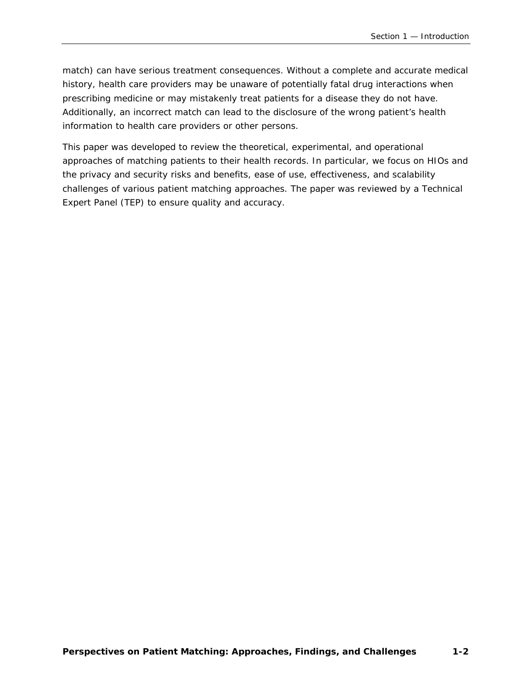match) can have serious treatment consequences. Without a complete and accurate medical history, health care providers may be unaware of potentially fatal drug interactions when prescribing medicine or may mistakenly treat patients for a disease they do not have. Additionally, an incorrect match can lead to the disclosure of the wrong patient's health information to health care providers or other persons.

This paper was developed to review the theoretical, experimental, and operational approaches of matching patients to their health records. In particular, we focus on HIOs and the privacy and security risks and benefits, ease of use, effectiveness, and scalability challenges of various patient matching approaches. The paper was reviewed by a Technical Expert Panel (TEP) to ensure quality and accuracy.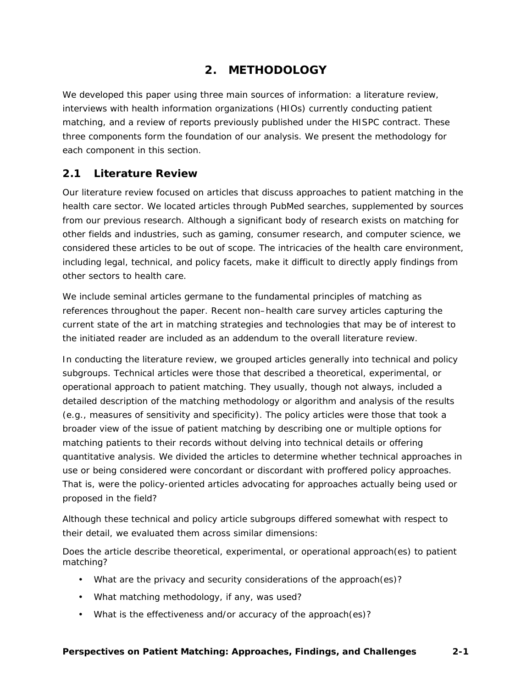# **2. METHODOLOGY**

<span id="page-10-0"></span>We developed this paper using three main sources of information: a literature review, interviews with health information organizations (HIOs) currently conducting patient matching, and a review of reports previously published under the HISPC contract. These three components form the foundation of our analysis. We present the methodology for each component in this section.

### <span id="page-10-1"></span>**2.1 Literature Review**

Our literature review focused on articles that discuss approaches to patient matching in the health care sector. We located articles through PubMed searches, supplemented by sources from our previous research. Although a significant body of research exists on matching for other fields and industries, such as gaming, consumer research, and computer science, we considered these articles to be out of scope. The intricacies of the health care environment, including legal, technical, and policy facets, make it difficult to directly apply findings from other sectors to health care.

We include seminal articles germane to the fundamental principles of matching as references throughout the paper. Recent non–health care survey articles capturing the current state of the art in matching strategies and technologies that may be of interest to the initiated reader are included as an addendum to the overall literature review.

In conducting the literature review, we grouped articles generally into *technical* and *policy* subgroups. Technical articles were those that described a theoretical, experimental, or operational approach to patient matching. They usually, though not always, included a detailed description of the matching methodology or algorithm and analysis of the results (e.g., measures of sensitivity and specificity). The policy articles were those that took a broader view of the issue of patient matching by describing one or multiple options for matching patients to their records without delving into technical details or offering quantitative analysis. We divided the articles to determine whether technical approaches in use or being considered were concordant or discordant with proffered policy approaches. That is, were the policy-oriented articles advocating for approaches actually being used or proposed in the field?

Although these technical and policy article subgroups differed somewhat with respect to their detail, we evaluated them across similar dimensions:

Does the article describe theoretical, experimental, or operational approach(es) to patient matching?

- What are the privacy and security considerations of the approach(es)?
- What matching methodology, if any, was used?
- What is the effectiveness and/or accuracy of the approach(es)?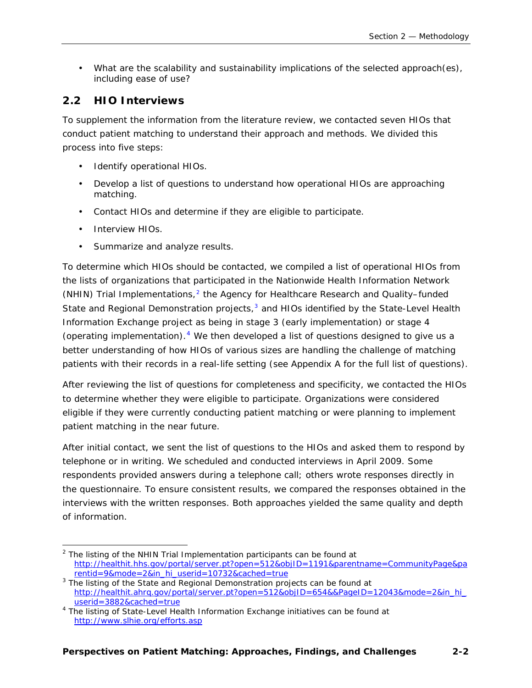• What are the scalability and sustainability implications of the selected approach(es), including ease of use?

#### <span id="page-11-0"></span>**2.2 HIO Interviews**

To supplement the information from the literature review, we contacted seven HIOs that conduct patient matching to understand their approach and methods. We divided this process into five steps:

- Identify operational HIOs.
- Develop a list of questions to understand how operational HIOs are approaching matching.
- Contact HIOs and determine if they are eligible to participate.
- Interview HIOs.
- Summarize and analyze results.

To determine which HIOs should be contacted, we compiled a list of operational HIOs from the lists of organizations that participated in the Nationwide Health Information Network (NHIN) Trial Implementations, $<sup>2</sup>$  $<sup>2</sup>$  $<sup>2</sup>$  the Agency for Healthcare Research and Quality–funded</sup> State and Regional Demonstration projects, $3$  and HIOs identified by the State-Level Health Information Exchange project as being in stage 3 (early implementation) or stage 4 (operating implementation). $4$  We then developed a list of questions designed to give us a better understanding of how HIOs of various sizes are handling the challenge of matching patients with their records in a real-life setting (see Appendix A for the full list of questions).

After reviewing the list of questions for completeness and specificity, we contacted the HIOs to determine whether they were eligible to participate. Organizations were considered eligible if they were currently conducting patient matching or were planning to implement patient matching in the near future.

After initial contact, we sent the list of questions to the HIOs and asked them to respond by telephone or in writing. We scheduled and conducted interviews in April 2009. Some respondents provided answers during a telephone call; others wrote responses directly in the questionnaire. To ensure consistent results, we compared the responses obtained in the interviews with the written responses. Both approaches yielded the same quality and depth of information.

<span id="page-11-1"></span>  $2$  The listing of the NHIN Trial Implementation participants can be found at [http://healthit.hhs.gov/portal/server.pt?open=512&objID=1191&parentname=CommunityPage&pa](http://healthit.hhs.gov/portal/server.pt?open=512&objID=1191&parentname=CommunityPage&parentid=9&mode=2&in_hi_userid=10732&cached=true) [rentid=9&mode=2&in\\_hi\\_userid=10732&cached=true](http://healthit.hhs.gov/portal/server.pt?open=512&objID=1191&parentname=CommunityPage&parentid=9&mode=2&in_hi_userid=10732&cached=true) 3

<span id="page-11-2"></span> $3$  The listing of the State and Regional Demonstration projects can be found at [http://healthit.ahrq.gov/portal/server.pt?open=512&objID=654&&PageID=12043&mode=2&in\\_hi\\_](http://healthit.ahrq.gov/portal/server.pt?open=512&objID=654&&PageID=12043&mode=2&in_hi_userid=3882&cached=true)  $userid = 3882&cached = true$ 

<span id="page-11-3"></span><sup>&</sup>lt;sup>4</sup> The listing of State-Level Health Information Exchange initiatives can be found at <http://www.slhie.org/efforts.asp>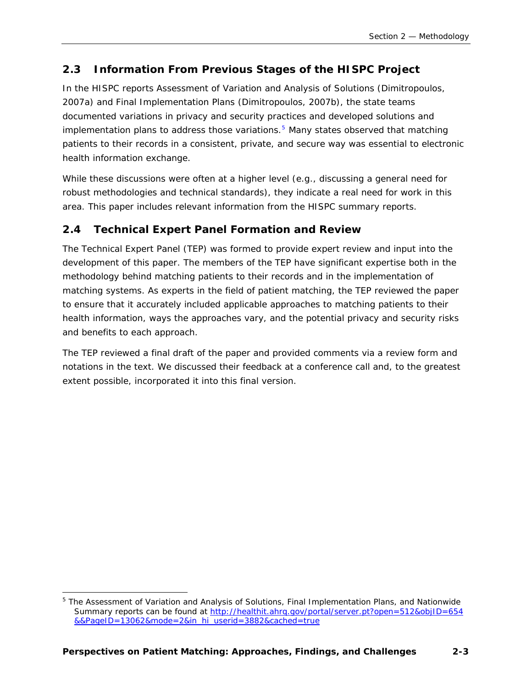# <span id="page-12-0"></span>**2.3 Information From Previous Stages of the HISPC Project**

In the HISPC reports *Assessment of Variation and Analysis of Solutions* (Dimitropoulos, 2007a) and *Final Implementation Plans* (Dimitropoulos, 2007b), the state teams documented variations in privacy and security practices and developed solutions and implementation plans to address those variations. $5$  Many states observed that matching patients to their records in a consistent, private, and secure way was essential to electronic health information exchange.

While these discussions were often at a higher level (e.g., discussing a general need for robust methodologies and technical standards), they indicate a real need for work in this area. This paper includes relevant information from the HISPC summary reports.

# <span id="page-12-1"></span>**2.4 Technical Expert Panel Formation and Review**

The Technical Expert Panel (TEP) was formed to provide expert review and input into the development of this paper. The members of the TEP have significant expertise both in the methodology behind matching patients to their records and in the implementation of matching systems. As experts in the field of patient matching, the TEP reviewed the paper to ensure that it accurately included applicable approaches to matching patients to their health information, ways the approaches vary, and the potential privacy and security risks and benefits to each approach.

The TEP reviewed a final draft of the paper and provided comments via a review form and notations in the text. We discussed their feedback at a conference call and, to the greatest extent possible, incorporated it into this final version.

<span id="page-12-2"></span> $\overline{a}$ 5 The *Assessment of Variation and Analysis of Solutions, Final Implementation Plans,* and *Nationwide Summary* reports can be found at [http://healthit.ahrq.gov/portal/server.pt?open=512&objID=654](http://healthit.ahrq.gov/portal/server.pt?open=512&objID=654&&PageID=13062&mode=2&in_hi_userid=3882&cached=true) [&&PageID=13062&mode=2&in\\_hi\\_userid=3882&cached=true](http://healthit.ahrq.gov/portal/server.pt?open=512&objID=654&&PageID=13062&mode=2&in_hi_userid=3882&cached=true)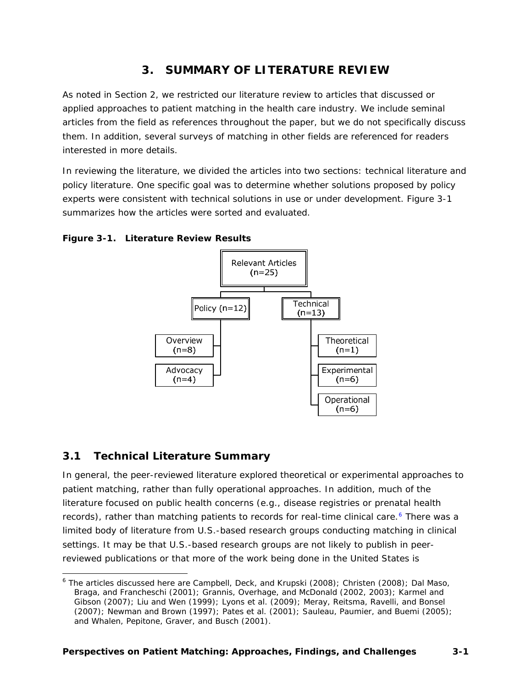# **3. SUMMARY OF LITERATURE REVIEW**

<span id="page-13-0"></span>As noted in Section 2, we restricted our literature review to articles that discussed or applied approaches to patient matching in the health care industry. We include seminal articles from the field as references throughout the paper, but we do not specifically discuss them. In addition, several surveys of matching in other fields are referenced for readers interested in more details.

In reviewing the literature, we divided the articles into two sections: technical literature and policy literature. One specific goal was to determine whether solutions proposed by policy experts were consistent with technical solutions in use or under development. Figure 3-1 summarizes how the articles were sorted and evaluated.

#### <span id="page-13-2"></span>**Figure 3-1. Literature Review Results**



#### <span id="page-13-1"></span>**3.1 Technical Literature Summary**

-

In general, the peer-reviewed literature explored theoretical or experimental approaches to patient matching, rather than fully operational approaches. In addition, much of the literature focused on public health concerns (e.g., disease registries or prenatal health records), rather than matching patients to records for real-time clinical care.<sup>[6](#page-13-3)</sup> There was a limited body of literature from U.S.-based research groups conducting matching in clinical settings. It may be that U.S.-based research groups are not likely to publish in peerreviewed publications or that more of the work being done in the United States is

<span id="page-13-3"></span><sup>&</sup>lt;sup>6</sup> The articles discussed here are Campbell, Deck, and Krupski (2008); Christen (2008); Dal Maso, Braga, and Francheschi (2001); Grannis, Overhage, and McDonald (2002, 2003); Karmel and Gibson (2007); Liu and Wen (1999); Lyons et al. (2009); Meray, Reitsma, Ravelli, and Bonsel (2007); Newman and Brown (1997); Pates et al. (2001); Sauleau, Paumier, and Buemi (2005); and Whalen, Pepitone, Graver, and Busch (2001).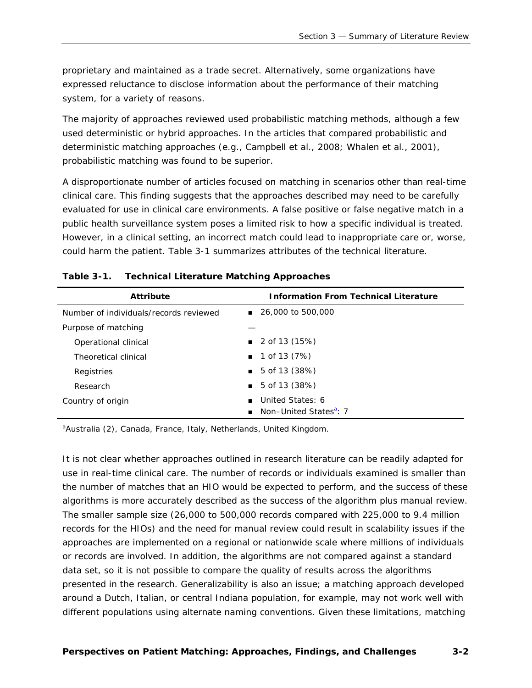proprietary and maintained as a trade secret. Alternatively, some organizations have expressed reluctance to disclose information about the performance of their matching system, for a variety of reasons.

The majority of approaches reviewed used probabilistic matching methods, although a few used deterministic or hybrid approaches. In the articles that compared probabilistic and deterministic matching approaches (e.g., Campbell et al., 2008; Whalen et al., 2001), probabilistic matching was found to be superior.

A disproportionate number of articles focused on matching in scenarios other than real-time clinical care. This finding suggests that the approaches described may need to be carefully evaluated for use in clinical care environments. A false positive or false negative match in a public health surveillance system poses a limited risk to how a specific individual is treated. However, in a clinical setting, an incorrect match could lead to inappropriate care or, worse, could harm the patient. Table 3-1 summarizes attributes of the technical literature.

| <b>Attribute</b>                       | <b>Information From Technical Literature</b> |
|----------------------------------------|----------------------------------------------|
| Number of individuals/records reviewed | ■ 26,000 to 500,000                          |
| Purpose of matching                    |                                              |
| Operational clinical                   | $\blacksquare$ 2 of 13 (15%)                 |
| Theoretical clinical                   | $\blacksquare$ 1 of 13 (7%)                  |
| Registries                             | $\blacksquare$ 5 of 13 (38%)                 |
| Research                               | $\blacksquare$ 5 of 13 (38%)                 |
| Country of origin                      | United States: 6<br>$\blacksquare$           |
|                                        | ■ Non-United States <sup>a</sup> : 7         |

#### <span id="page-14-0"></span>**Table 3-1. Technical Literature Matching Approaches**

<span id="page-14-1"></span><sup>a</sup>Australia (2), Canada, France, Italy, Netherlands, United Kingdom.

It is not clear whether approaches outlined in research literature can be readily adapted for use in real-time clinical care. The number of records or individuals examined is smaller than the number of matches that an HIO would be expected to perform, and the success of these algorithms is more accurately described as the success of the algorithm *plus manual review*. The smaller sample size (26,000 to 500,000 records compared with 225,000 to 9.4 million records for the HIOs) and the need for manual review could result in scalability issues if the approaches are implemented on a regional or nationwide scale where millions of individuals or records are involved. In addition, the algorithms are not compared against a standard data set, so it is not possible to compare the quality of results across the algorithms presented in the research. Generalizability is also an issue; a matching approach developed around a Dutch, Italian, or central Indiana population, for example, may not work well with different populations using alternate naming conventions. Given these limitations, matching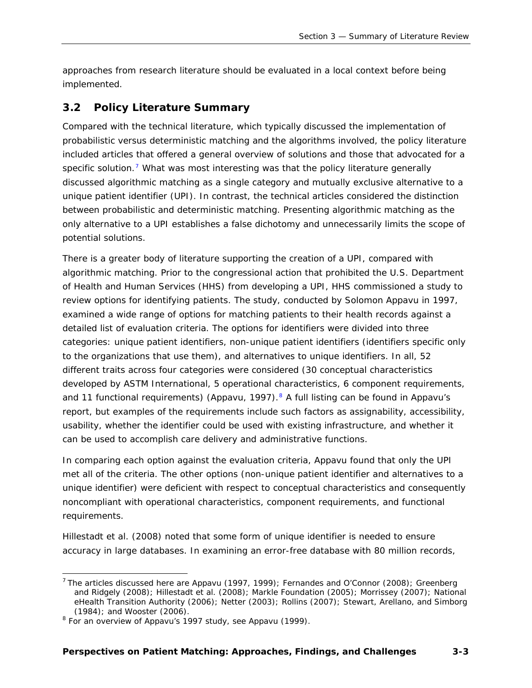approaches from research literature should be evaluated in a local context before being implemented.

# <span id="page-15-0"></span>**3.2 Policy Literature Summary**

Compared with the technical literature, which typically discussed the implementation of probabilistic versus deterministic matching and the algorithms involved, the policy literature included articles that offered a general overview of solutions and those that advocated for a specific solution.<sup>[7](#page-15-1)</sup> What was most interesting was that the policy literature generally discussed algorithmic matching as a single category and mutually exclusive alternative to a unique patient identifier (UPI). In contrast, the technical articles considered the distinction between probabilistic and deterministic matching. Presenting algorithmic matching as the only alternative to a UPI establishes a false dichotomy and unnecessarily limits the scope of potential solutions.

There is a greater body of literature supporting the creation of a UPI, compared with algorithmic matching. Prior to the congressional action that prohibited the U.S. Department of Health and Human Services (HHS) from developing a UPI, HHS commissioned a study to review options for identifying patients. The study, conducted by Solomon Appavu in 1997, examined a wide range of options for matching patients to their health records against a detailed list of evaluation criteria. The options for identifiers were divided into three categories: unique patient identifiers, non-unique patient identifiers (identifiers specific only to the organizations that use them), and alternatives to unique identifiers. In all, 52 different traits across four categories were considered (30 conceptual characteristics developed by ASTM International, 5 operational characteristics, 6 component requirements, and 11 functional requirements) (Appavu, 1997).<sup>[8](#page-15-2)</sup> A full listing can be found in Appavu's report, but examples of the requirements include such factors as assignability, accessibility, usability, whether the identifier could be used with existing infrastructure, and whether it can be used to accomplish care delivery and administrative functions.

In comparing each option against the evaluation criteria, Appavu found that only the UPI met all of the criteria. The other options (non-unique patient identifier and alternatives to a unique identifier) were deficient with respect to conceptual characteristics and consequently noncompliant with operational characteristics, component requirements, and functional requirements.

Hillestadt et al. (2008) noted that some form of unique identifier is needed to ensure accuracy in large databases. In examining an error-free database with 80 million records,

 $\overline{a}$ 

<span id="page-15-1"></span><sup>&</sup>lt;sup>7</sup> The articles discussed here are Appavu (1997, 1999); Fernandes and O'Connor (2008); Greenberg and Ridgely (2008); Hillestadt et al. (2008); Markle Foundation (2005); Morrissey (2007); National eHealth Transition Authority (2006); Netter (2003); Rollins (2007); Stewart, Arellano, and Simborg  $(1984)$ ; and Wooster  $(2006)$ .

<span id="page-15-2"></span> $8$  For an overview of Appavu's 1997 study, see Appavu (1999).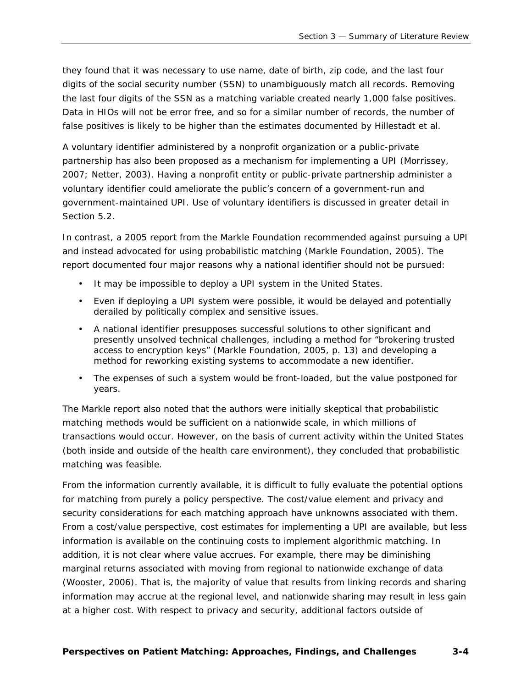they found that it was necessary to use name, date of birth, zip code, and the last four digits of the social security number (SSN) to unambiguously match all records. Removing the last four digits of the SSN as a matching variable created nearly 1,000 false positives. Data in HIOs will not be error free, and so for a similar number of records, the number of false positives is likely to be higher than the estimates documented by Hillestadt et al.

A voluntary identifier administered by a nonprofit organization or a public-private partnership has also been proposed as a mechanism for implementing a UPI (Morrissey, 2007; Netter, 2003). Having a nonprofit entity or public-private partnership administer a voluntary identifier could ameliorate the public's concern of a government-run and government-maintained UPI. Use of voluntary identifiers is discussed in greater detail in Section 5.2.

In contrast, a 2005 report from the Markle Foundation recommended against pursuing a UPI and instead advocated for using probabilistic matching (Markle Foundation, 2005). The report documented four major reasons why a national identifier should not be pursued:

- It may be impossible to deploy a UPI system in the United States.
- Even if deploying a UPI system were possible, it would be delayed and potentially derailed by politically complex and sensitive issues.
- A national identifier presupposes successful solutions to other significant and presently unsolved technical challenges, including a method for "brokering trusted access to encryption keys" (Markle Foundation, 2005, p. 13) and developing a method for reworking existing systems to accommodate a new identifier.
- The expenses of such a system would be front-loaded, but the value postponed for years.

The Markle report also noted that the authors were initially skeptical that probabilistic matching methods would be sufficient on a nationwide scale, in which millions of transactions would occur. However, on the basis of current activity within the United States (both inside and outside of the health care environment), they concluded that probabilistic matching was feasible.

From the information currently available, it is difficult to fully evaluate the potential options for matching from purely a policy perspective. The cost/value element and privacy and security considerations for each matching approach have unknowns associated with them. From a cost/value perspective, cost estimates for implementing a UPI are available, but less information is available on the continuing costs to implement algorithmic matching. In addition, it is not clear where value accrues. For example, there may be diminishing marginal returns associated with moving from regional to nationwide exchange of data (Wooster, 2006). That is, the majority of value that results from linking records and sharing information may accrue at the regional level, and nationwide sharing may result in less gain at a higher cost. With respect to privacy and security, additional factors outside of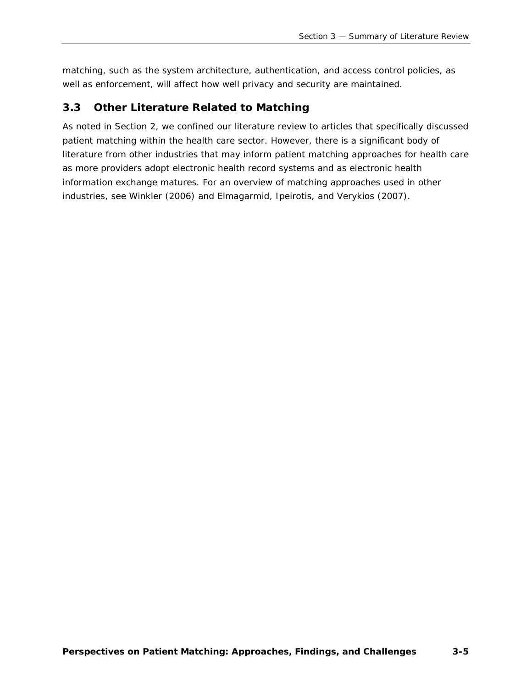matching, such as the system architecture, authentication, and access control policies, as well as enforcement, will affect how well privacy and security are maintained.

# <span id="page-17-0"></span>**3.3 Other Literature Related to Matching**

As noted in Section 2, we confined our literature review to articles that specifically discussed patient matching within the health care sector. However, there is a significant body of literature from other industries that may inform patient matching approaches for health care as more providers adopt electronic health record systems and as electronic health information exchange matures. For an overview of matching approaches used in other industries, see Winkler (2006) and Elmagarmid, Ipeirotis, and Verykios (2007).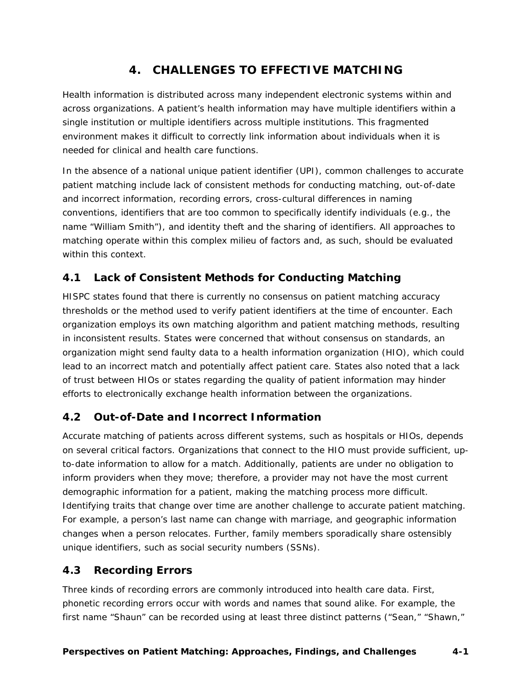# **4. CHALLENGES TO EFFECTIVE MATCHING**

<span id="page-18-0"></span>Health information is distributed across many independent electronic systems within and across organizations. A patient's health information may have multiple identifiers within a single institution or multiple identifiers across multiple institutions. This fragmented environment makes it difficult to correctly link information about individuals when it is needed for clinical and health care functions.

In the absence of a national unique patient identifier (UPI), common challenges to accurate patient matching include lack of consistent methods for conducting matching, out-of-date and incorrect information, recording errors, cross-cultural differences in naming conventions, identifiers that are too common to specifically identify individuals (e.g., the name "William Smith"), and identity theft and the sharing of identifiers. All approaches to matching operate within this complex milieu of factors and, as such, should be evaluated within this context.

# <span id="page-18-1"></span>**4.1 Lack of Consistent Methods for Conducting Matching**

HISPC states found that there is currently no consensus on patient matching accuracy thresholds or the method used to verify patient identifiers at the time of encounter. Each organization employs its own matching algorithm and patient matching methods, resulting in inconsistent results. States were concerned that without consensus on standards, an organization might send faulty data to a health information organization (HIO), which could lead to an incorrect match and potentially affect patient care. States also noted that a lack of trust between HIOs or states regarding the quality of patient information may hinder efforts to electronically exchange health information between the organizations.

# <span id="page-18-2"></span>**4.2 Out-of-Date and Incorrect Information**

Accurate matching of patients across different systems, such as hospitals or HIOs, depends on several critical factors. Organizations that connect to the HIO must provide sufficient, upto-date information to allow for a match. Additionally, patients are under no obligation to inform providers when they move; therefore, a provider may not have the most current demographic information for a patient, making the matching process more difficult. Identifying traits that change over time are another challenge to accurate patient matching. For example, a person's last name can change with marriage, and geographic information changes when a person relocates. Further, family members sporadically share ostensibly unique identifiers, such as social security numbers (SSNs).

# <span id="page-18-3"></span>**4.3 Recording Errors**

Three kinds of recording errors are commonly introduced into health care data. First, phonetic recording errors occur with words and names that sound alike. For example, the first name "Shaun" can be recorded using at least three distinct patterns ("Sean," "Shawn,"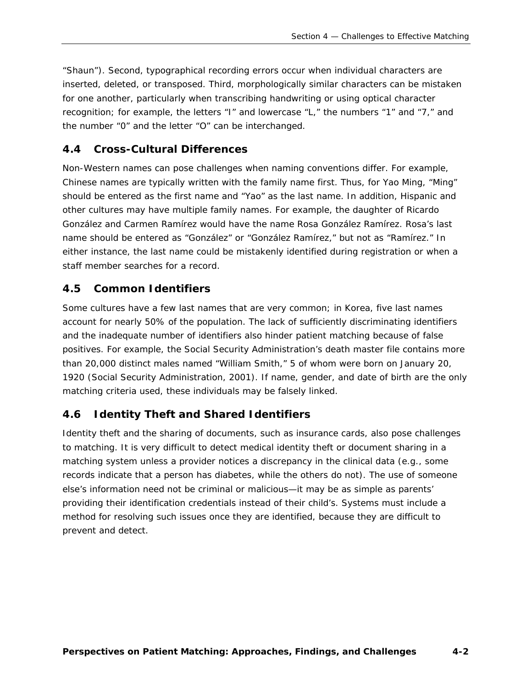"Shaun"). Second, typographical recording errors occur when individual characters are inserted, deleted, or transposed. Third, morphologically similar characters can be mistaken for one another, particularly when transcribing handwriting or using optical character recognition; for example, the letters "I" and lowercase "L," the numbers "1" and "7," and the number "0" and the letter "O" can be interchanged.

# <span id="page-19-0"></span>**4.4 Cross-Cultural Differences**

Non-Western names can pose challenges when naming conventions differ. For example, Chinese names are typically written with the family name first. Thus, for Yao Ming, "Ming" should be entered as the first name and "Yao" as the last name. In addition, Hispanic and other cultures may have multiple family names. For example, the daughter of Ricardo González and Carmen Ramírez would have the name Rosa González Ramírez. Rosa's last name should be entered as "González" or "González Ramírez," but not as "Ramírez." In either instance, the last name could be mistakenly identified during registration or when a staff member searches for a record.

### <span id="page-19-1"></span>**4.5 Common Identifiers**

Some cultures have a few last names that are very common; in Korea, five last names account for nearly 50% of the population. The lack of sufficiently discriminating identifiers and the inadequate number of identifiers also hinder patient matching because of false positives. For example, the Social Security Administration's death master file contains more than 20,000 distinct males named "William Smith," 5 of whom were born on January 20, 1920 (Social Security Administration, 2001). If name, gender, and date of birth are the only matching criteria used, these individuals may be falsely linked.

### <span id="page-19-2"></span>**4.6 Identity Theft and Shared Identifiers**

Identity theft and the sharing of documents, such as insurance cards, also pose challenges to matching. It is very difficult to detect medical identity theft or document sharing in a matching system unless a provider notices a discrepancy in the clinical data (e.g., some records indicate that a person has diabetes, while the others do not). The use of someone else's information need not be criminal or malicious—it may be as simple as parents' providing their identification credentials instead of their child's. Systems must include a method for resolving such issues once they are identified, because they are difficult to prevent and detect.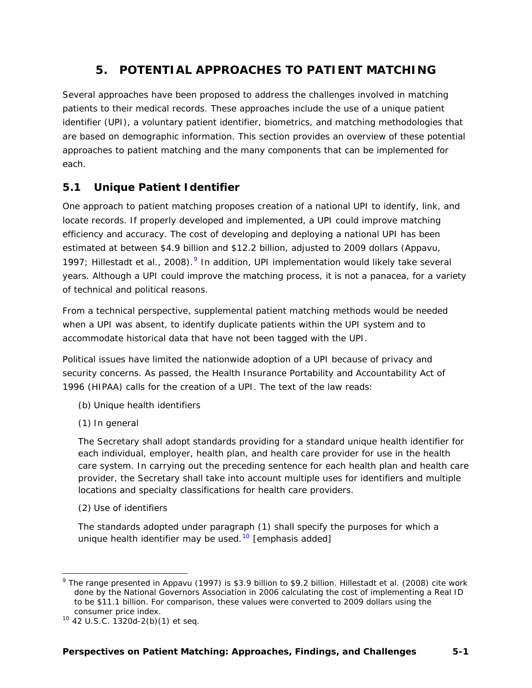# **5. POTENTIAL APPROACHES TO PATIENT MATCHING**

<span id="page-20-0"></span>Several approaches have been proposed to address the challenges involved in matching patients to their medical records. These approaches include the use of a unique patient identifier (UPI), a voluntary patient identifier, biometrics, and matching methodologies that are based on demographic information. This section provides an overview of these potential approaches to patient matching and the many components that can be implemented for each.

# <span id="page-20-1"></span>**5.1 Unique Patient Identifier**

One approach to patient matching proposes creation of a national UPI to identify, link, and locate records. If properly developed and implemented, a UPI could improve matching efficiency and accuracy. The cost of developing and deploying a national UPI has been estimated at between \$4.9 billion and \$12.2 billion, adjusted to 2009 dollars (Appavu, 1[9](#page-20-2)97; Hillestadt et al., 2008). $9$  In addition, UPI implementation would likely take several years. Although a UPI could improve the matching process, it is not a panacea, for a variety of technical and political reasons.

From a technical perspective, supplemental patient matching methods would be needed when a UPI was absent, to identify duplicate patients within the UPI system and to accommodate historical data that have not been tagged with the UPI.

Political issues have limited the nationwide adoption of a UPI because of privacy and security concerns. As passed, the Health Insurance Portability and Accountability Act of 1996 (HIPAA) calls for the creation of a UPI. The text of the law reads:

- (b) Unique health identifiers
- (1) In general

The Secretary shall adopt standards providing for a standard unique health identifier for each *individual*, employer, health plan, and health care provider for use in the health care system. In carrying out the preceding sentence for each health plan and health care provider, the Secretary shall take into account multiple uses for identifiers and multiple locations and specialty classifications for health care providers.

(2) Use of identifiers

-

The standards adopted under paragraph (1) shall specify the purposes for which a unique health identifier may be used.<sup>[10](#page-20-3)</sup> [emphasis added]

<span id="page-20-2"></span><sup>&</sup>lt;sup>9</sup> The range presented in Appavu (1997) is \$3.9 billion to \$9.2 billion. Hillestadt et al. (2008) cite work done by the National Governors Association in 2006 calculating the cost of implementing a Real ID to be \$11.1 billion. For comparison, these values were converted to 2009 dollars using the consumer price index.<br><sup>10</sup> 42 U.S.C. 1320d-2(b)(1) et seq.

<span id="page-20-3"></span>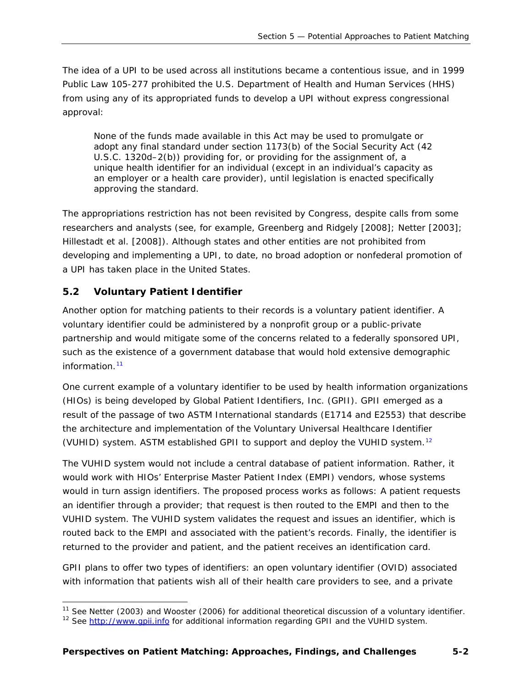The idea of a UPI to be used across all institutions became a contentious issue, and in 1999 Public Law 105-277 prohibited the U.S. Department of Health and Human Services (HHS) from using any of its appropriated funds to develop a UPI without express congressional approval:

None of the funds made available in this Act may be used to promulgate or adopt any final standard under section 1173(b) of the Social Security Act (42 U.S.C. 1320d–2(b)) providing for, or providing for the assignment of, a unique health identifier for an individual (except in an individual's capacity as an employer or a health care provider), until legislation is enacted specifically approving the standard.

The appropriations restriction has not been revisited by Congress, despite calls from some researchers and analysts (see, for example, Greenberg and Ridgely [2008]; Netter [2003]; Hillestadt et al. [2008]). Although states and other entities are not prohibited from developing and implementing a UPI, to date, no broad adoption or nonfederal promotion of a UPI has taken place in the United States.

#### <span id="page-21-0"></span>**5.2 Voluntary Patient Identifier**

Another option for matching patients to their records is a voluntary patient identifier. A voluntary identifier could be administered by a nonprofit group or a public-private partnership and would mitigate some of the concerns related to a federally sponsored UPI, such as the existence of a government database that would hold extensive demographic information.[11](#page-21-1)

One current example of a voluntary identifier to be used by health information organizations (HIOs) is being developed by Global Patient Identifiers, Inc. (GPII). GPII emerged as a result of the passage of two ASTM International standards (E1714 and E2553) that describe the architecture and implementation of the Voluntary Universal Healthcare Identifier (VUHID) system. ASTM established GPII to support and deploy the VUHID system.[12](#page-21-2)

The VUHID system would not include a central database of patient information. Rather, it would work with HIOs' Enterprise Master Patient Index (EMPI) vendors, whose systems would in turn assign identifiers. The proposed process works as follows: A patient requests an identifier through a provider; that request is then routed to the EMPI and then to the VUHID system. The VUHID system validates the request and issues an identifier, which is routed back to the EMPI and associated with the patient's records. Finally, the identifier is returned to the provider and patient, and the patient receives an identification card.

GPII plans to offer two types of identifiers: an open voluntary identifier (OVID) associated with information that patients wish all of their health care providers to see, and a private

<span id="page-21-2"></span><span id="page-21-1"></span><sup>&</sup>lt;sup>11</sup> See Netter (2003) and Wooster (2006) for additional theoretical discussion of a voluntary identifier.<br><sup>12</sup> See http:/<u>/www.qpii.info</u> for additional information regarding GPII and the VUHID system.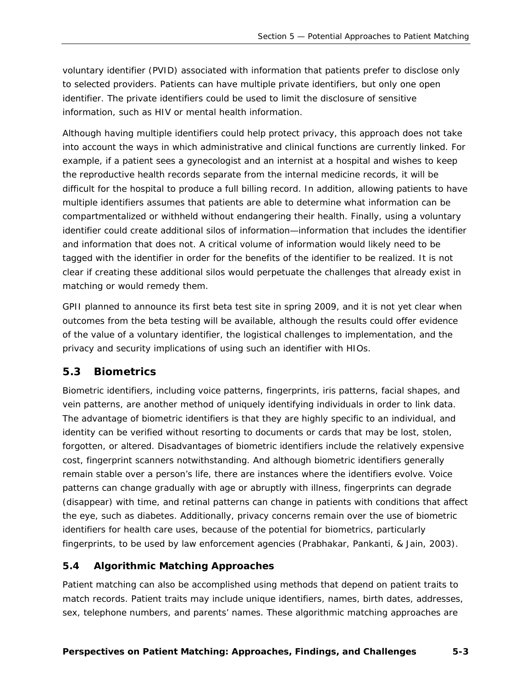voluntary identifier (PVID) associated with information that patients prefer to disclose only to selected providers. Patients can have multiple private identifiers, but only one open identifier. The private identifiers could be used to limit the disclosure of sensitive information, such as HIV or mental health information.

Although having multiple identifiers could help protect privacy, this approach does not take into account the ways in which administrative and clinical functions are currently linked. For example, if a patient sees a gynecologist and an internist at a hospital and wishes to keep the reproductive health records separate from the internal medicine records, it will be difficult for the hospital to produce a full billing record. In addition, allowing patients to have multiple identifiers assumes that patients are able to determine what information can be compartmentalized or withheld without endangering their health. Finally, using a voluntary identifier could create additional silos of information—information that includes the identifier and information that does not. A critical volume of information would likely need to be tagged with the identifier in order for the benefits of the identifier to be realized. It is not clear if creating these additional silos would perpetuate the challenges that already exist in matching or would remedy them.

GPII planned to announce its first beta test site in spring 2009, and it is not yet clear when outcomes from the beta testing will be available, although the results could offer evidence of the value of a voluntary identifier, the logistical challenges to implementation, and the privacy and security implications of using such an identifier with HIOs.

#### <span id="page-22-0"></span>**5.3 Biometrics**

Biometric identifiers, including voice patterns, fingerprints, iris patterns, facial shapes, and vein patterns, are another method of uniquely identifying individuals in order to link data. The advantage of biometric identifiers is that they are highly specific to an individual, and identity can be verified without resorting to documents or cards that may be lost, stolen, forgotten, or altered. Disadvantages of biometric identifiers include the relatively expensive cost, fingerprint scanners notwithstanding. And although biometric identifiers generally remain stable over a person's life, there are instances where the identifiers evolve. Voice patterns can change gradually with age or abruptly with illness, fingerprints can degrade (disappear) with time, and retinal patterns can change in patients with conditions that affect the eye, such as diabetes. Additionally, privacy concerns remain over the use of biometric identifiers for health care uses, because of the potential for biometrics, particularly fingerprints, to be used by law enforcement agencies (Prabhakar, Pankanti, & Jain, 2003).

#### <span id="page-22-1"></span>**5.4 Algorithmic Matching Approaches**

Patient matching can also be accomplished using methods that depend on patient traits to match records. Patient traits may include unique identifiers, names, birth dates, addresses, sex, telephone numbers, and parents' names. These algorithmic matching approaches are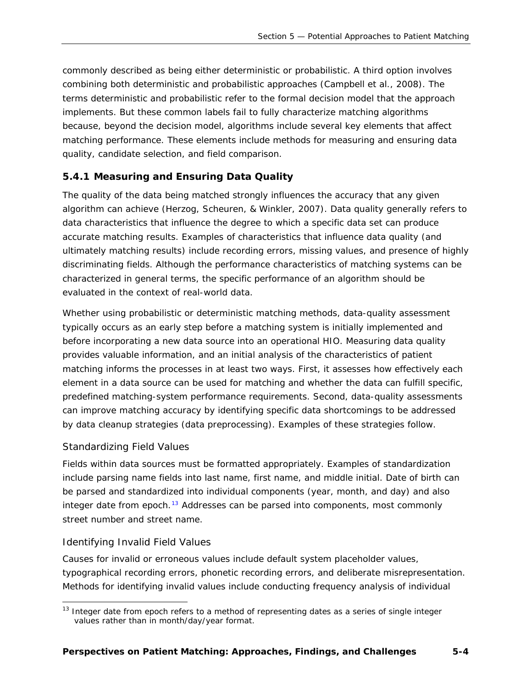commonly described as being either deterministic or probabilistic. A third option involves combining both deterministic and probabilistic approaches (Campbell et al., 2008). The terms *deterministic* and *probabilistic* refer to the formal decision model that the approach implements. But these common labels fail to fully characterize matching algorithms because, beyond the decision model, algorithms include several key elements that affect matching performance. These elements include methods for measuring and ensuring data quality, candidate selection, and field comparison.

#### <span id="page-23-0"></span>*5.4.1 Measuring and Ensuring Data Quality*

The quality of the data being matched strongly influences the accuracy that any given algorithm can achieve (Herzog, Scheuren, & Winkler, 2007). Data quality generally refers to data characteristics that influence the degree to which a specific data set can produce accurate matching results. Examples of characteristics that influence data quality (and ultimately matching results) include recording errors, missing values, and presence of highly discriminating fields. Although the performance characteristics of matching systems can be characterized in general terms, the specific performance of an algorithm should be evaluated in the context of real-world data.

Whether using probabilistic or deterministic matching methods, data-quality assessment typically occurs as an early step before a matching system is initially implemented and before incorporating a new data source into an operational HIO. Measuring data quality provides valuable information, and an initial analysis of the characteristics of patient matching informs the processes in at least two ways. First, it assesses how effectively each element in a data source can be used for matching and whether the data can fulfill specific, predefined matching-system performance requirements. Second, data-quality assessments can improve matching accuracy by identifying specific data shortcomings to be addressed by data cleanup strategies (data preprocessing). Examples of these strategies follow.

#### *Standardizing Field Values*

Fields within data sources must be formatted appropriately. Examples of standardization include parsing name fields into last name, first name, and middle initial. Date of birth can be parsed and standardized into individual components (year, month, and day) and also integer date from epoch.<sup>[13](#page-23-1)</sup> Addresses can be parsed into components, most commonly street number and street name.

#### *Identifying Invalid Field Values*

Causes for invalid or erroneous values include default system placeholder values, typographical recording errors, phonetic recording errors, and deliberate misrepresentation. Methods for identifying invalid values include conducting frequency analysis of individual

<span id="page-23-1"></span> <sup>13</sup> Integer date from epoch refers to a method of representing dates as a series of single integer values rather than in month/day/year format.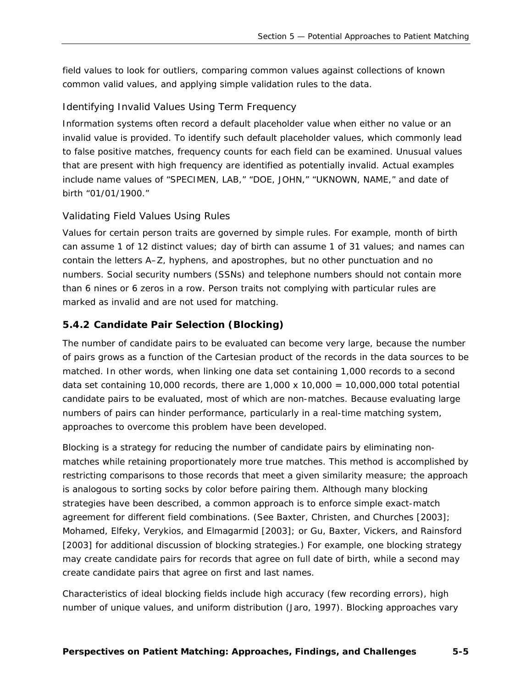field values to look for outliers, comparing common values against collections of known common valid values, and applying simple validation rules to the data.

#### *Identifying Invalid Values Using Term Frequency*

Information systems often record a *default placeholder value* when either no value or an invalid value is provided. To identify such default placeholder values, which commonly lead to false positive matches, frequency counts for each field can be examined. Unusual values that are present with high frequency are identified as potentially invalid. Actual examples include name values of "SPECIMEN, LAB," "DOE, JOHN," "UKNOWN, NAME," and date of birth "01/01/1900."

#### *Validating Field Values Using Rules*

Values for certain person traits are governed by simple rules. For example, month of birth can assume 1 of 12 distinct values; day of birth can assume 1 of 31 values; and names can contain the letters A–Z, hyphens, and apostrophes, but no other punctuation and no numbers. Social security numbers (SSNs) and telephone numbers should not contain more than 6 nines or 6 zeros in a row. Person traits not complying with particular rules are marked as invalid and are not used for matching.

#### <span id="page-24-0"></span>*5.4.2 Candidate Pair Selection (Blocking)*

The number of candidate pairs to be evaluated can become very large, because the number of pairs grows as a function of the Cartesian product of the records in the data sources to be matched. In other words, when linking one data set containing 1,000 records to a second data set containing 10,000 records, there are  $1,000 \times 10,000 = 10,000,000$  total potential candidate pairs to be evaluated, most of which are non-matches. Because evaluating large numbers of pairs can hinder performance, particularly in a real-time matching system, approaches to overcome this problem have been developed.

*Blocking* is a strategy for reducing the number of candidate pairs by eliminating nonmatches while retaining proportionately more true matches. This method is accomplished by restricting comparisons to those records that meet a given similarity measure; the approach is analogous to sorting socks by color before pairing them. Although many blocking strategies have been described, a common approach is to enforce simple exact-match agreement for different field combinations. (See Baxter, Christen, and Churches [2003]; Mohamed, Elfeky, Verykios, and Elmagarmid [2003]; or Gu, Baxter, Vickers, and Rainsford [2003] for additional discussion of blocking strategies.) For example, one blocking strategy may create candidate pairs for records that agree on full date of birth, while a second may create candidate pairs that agree on first and last names.

Characteristics of ideal blocking fields include high accuracy (few recording errors), high number of unique values, and uniform distribution (Jaro, 1997). Blocking approaches vary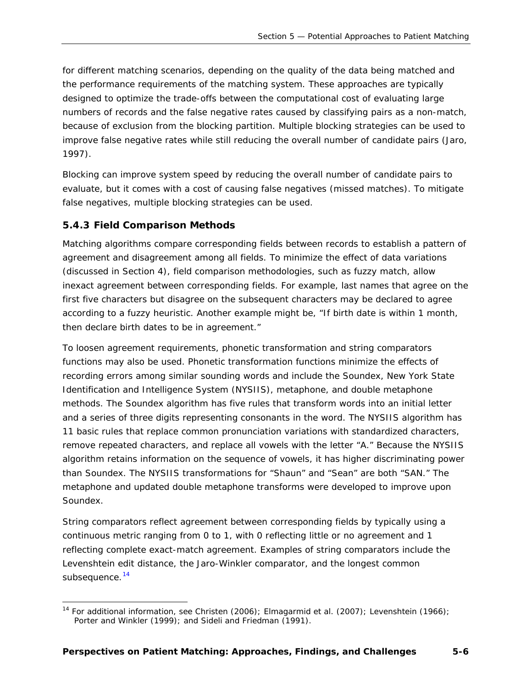for different matching scenarios, depending on the quality of the data being matched and the performance requirements of the matching system. These approaches are typically designed to optimize the trade-offs between the computational cost of evaluating large numbers of records and the false negative rates caused by classifying pairs as a non-match, because of exclusion from the blocking partition. Multiple blocking strategies can be used to improve false negative rates while still reducing the overall number of candidate pairs (Jaro, 1997).

Blocking can improve system speed by reducing the overall number of candidate pairs to evaluate, but it comes with a cost of causing false negatives (missed matches). To mitigate false negatives, multiple blocking strategies can be used.

#### <span id="page-25-0"></span>*5.4.3 Field Comparison Methods*

-

Matching algorithms compare corresponding fields between records to establish a pattern of agreement and disagreement among all fields. To minimize the effect of data variations (discussed in Section 4), field comparison methodologies, such as fuzzy match, allow inexact agreement between corresponding fields. For example, last names that agree on the first five characters but disagree on the subsequent characters may be declared to agree according to a fuzzy heuristic. Another example might be, "If birth date is within 1 month, then declare birth dates to be in agreement."

To loosen agreement requirements, phonetic transformation and string comparators functions may also be used. *Phonetic transformation functions* minimize the effects of recording errors among similar sounding words and include the Soundex, New York State Identification and Intelligence System (NYSIIS), metaphone, and double metaphone methods. The Soundex algorithm has five rules that transform words into an initial letter and a series of three digits representing consonants in the word. The NYSIIS algorithm has 11 basic rules that replace common pronunciation variations with standardized characters, remove repeated characters, and replace all vowels with the letter "A." Because the NYSIIS algorithm retains information on the sequence of vowels, it has higher discriminating power than Soundex. The NYSIIS transformations for "Shaun" and "Sean" are both "SAN." The metaphone and updated double metaphone transforms were developed to improve upon Soundex.

*String comparators* reflect agreement between corresponding fields by typically using a continuous metric ranging from 0 to 1, with 0 reflecting little or no agreement and 1 reflecting complete exact-match agreement. Examples of string comparators include the Levenshtein edit distance, the Jaro-Winkler comparator, and the longest common subsequence.<sup>[14](#page-25-1)</sup>

<span id="page-25-1"></span><sup>&</sup>lt;sup>14</sup> For additional information, see Christen (2006); Elmagarmid et al. (2007); Levenshtein (1966); Porter and Winkler (1999); and Sideli and Friedman (1991).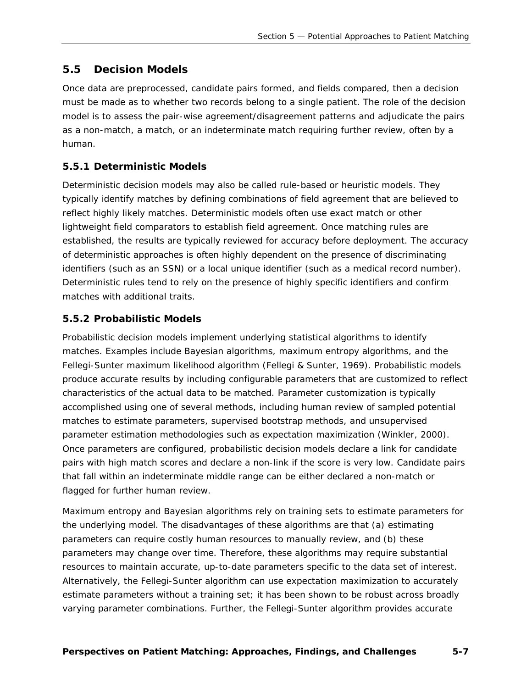#### <span id="page-26-0"></span>**5.5 Decision Models**

Once data are preprocessed, candidate pairs formed, and fields compared, then a decision must be made as to whether two records belong to a single patient. The role of the decision model is to assess the pair-wise agreement/disagreement patterns and adjudicate the pairs as a non-match, a match, or an indeterminate match requiring further review, often by a human.

#### <span id="page-26-1"></span>*5.5.1 Deterministic Models*

Deterministic decision models may also be called *rule-based* or *heuristic* models. They typically identify matches by defining combinations of field agreement that are believed to reflect highly likely matches. Deterministic models often use exact match or other lightweight field comparators to establish field agreement. Once matching rules are established, the results are typically reviewed for accuracy before deployment. The accuracy of deterministic approaches is often highly dependent on the presence of discriminating identifiers (such as an SSN) or a local unique identifier (such as a medical record number). Deterministic rules tend to rely on the presence of highly specific identifiers and confirm matches with additional traits.

#### <span id="page-26-2"></span>*5.5.2 Probabilistic Models*

Probabilistic decision models implement underlying statistical algorithms to identify matches. Examples include Bayesian algorithms, maximum entropy algorithms, and the Fellegi-Sunter maximum likelihood algorithm (Fellegi & Sunter, 1969). Probabilistic models produce accurate results by including configurable parameters that are customized to reflect characteristics of the actual data to be matched. Parameter customization is typically accomplished using one of several methods, including human review of sampled potential matches to estimate parameters, supervised bootstrap methods, and unsupervised parameter estimation methodologies such as expectation maximization (Winkler, 2000). Once parameters are configured, probabilistic decision models declare a link for candidate pairs with high match scores and declare a non-link if the score is very low. Candidate pairs that fall within an indeterminate middle range can be either declared a non-match or flagged for further human review.

Maximum entropy and Bayesian algorithms rely on training sets to estimate parameters for the underlying model. The disadvantages of these algorithms are that (a) estimating parameters can require costly human resources to manually review, and (b) these parameters may change over time. Therefore, these algorithms may require substantial resources to maintain accurate, up-to-date parameters specific to the data set of interest. Alternatively, the Fellegi-Sunter algorithm can use expectation maximization to accurately estimate parameters without a training set; it has been shown to be robust across broadly varying parameter combinations. Further, the Fellegi-Sunter algorithm provides accurate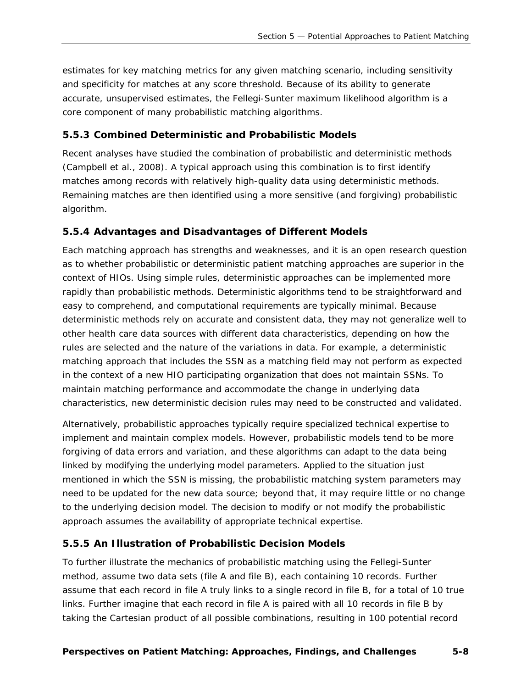estimates for key matching metrics for any given matching scenario, including sensitivity and specificity for matches at any score threshold. Because of its ability to generate accurate, unsupervised estimates, the Fellegi-Sunter maximum likelihood algorithm is a core component of many probabilistic matching algorithms.

#### <span id="page-27-0"></span>*5.5.3 Combined Deterministic and Probabilistic Models*

Recent analyses have studied the combination of probabilistic and deterministic methods (Campbell et al., 2008). A typical approach using this combination is to first identify matches among records with relatively high-quality data using deterministic methods. Remaining matches are then identified using a more sensitive (and forgiving) probabilistic algorithm.

#### <span id="page-27-1"></span>*5.5.4 Advantages and Disadvantages of Different Models*

Each matching approach has strengths and weaknesses, and it is an open research question as to whether probabilistic or deterministic patient matching approaches are superior in the context of HIOs. Using simple rules, deterministic approaches can be implemented more rapidly than probabilistic methods. Deterministic algorithms tend to be straightforward and easy to comprehend, and computational requirements are typically minimal. Because deterministic methods rely on accurate and consistent data, they may not generalize well to other health care data sources with different data characteristics, depending on how the rules are selected and the nature of the variations in data. For example, a deterministic matching approach that includes the SSN as a matching field may not perform as expected in the context of a new HIO participating organization that does not maintain SSNs. To maintain matching performance and accommodate the change in underlying data characteristics, new deterministic decision rules may need to be constructed and validated.

Alternatively, probabilistic approaches typically require specialized technical expertise to implement and maintain complex models. However, probabilistic models tend to be more forgiving of data errors and variation, and these algorithms can adapt to the data being linked by modifying the underlying model parameters. Applied to the situation just mentioned in which the SSN is missing, the probabilistic matching system parameters may need to be updated for the new data source; beyond that, it may require little or no change to the underlying decision model. The decision to modify or not modify the probabilistic approach assumes the availability of appropriate technical expertise.

#### <span id="page-27-2"></span>*5.5.5 An Illustration of Probabilistic Decision Models*

To further illustrate the mechanics of probabilistic matching using the Fellegi-Sunter method, assume two data sets (file A and file B), each containing 10 records. Further assume that each record in file A truly links to a single record in file B, for a total of 10 true links. Further imagine that each record in file A is paired with all 10 records in file B by taking the Cartesian product of all possible combinations, resulting in 100 potential record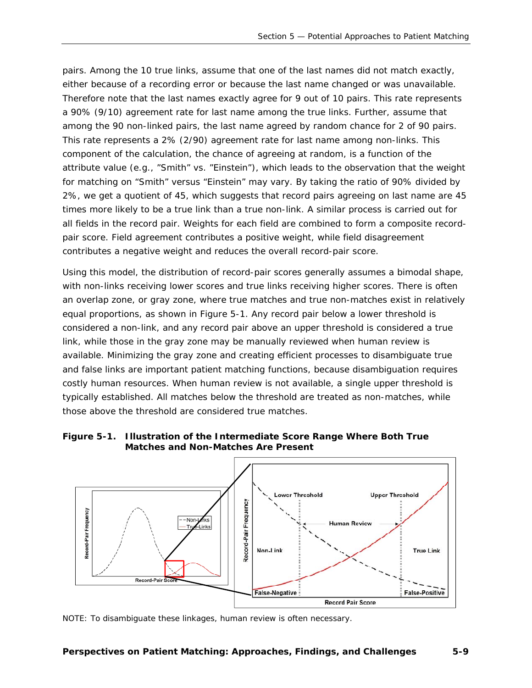pairs. Among the 10 true links, assume that one of the last names did not match exactly, either because of a recording error or because the last name changed or was unavailable. Therefore note that the last names exactly agree for 9 out of 10 pairs. This rate represents a 90% (9/10) agreement rate for last name among the true links. Further, assume that among the 90 non-linked pairs, the last name agreed by random chance for 2 of 90 pairs. This rate represents a 2% (2/90) agreement rate for last name among non-links. This component of the calculation, the chance of agreeing at random, is a function of the attribute value (e.g., "Smith" vs. "Einstein"), which leads to the observation that the weight for matching on "Smith" versus "Einstein" may vary. By taking the ratio of 90% divided by 2%, we get a quotient of 45, which suggests that record pairs agreeing on last name are 45 times more likely to be a true link than a true non-link. A similar process is carried out for all fields in the record pair. Weights for each field are combined to form a composite recordpair score. Field agreement contributes a positive weight, while field disagreement contributes a negative weight and reduces the overall record-pair score.

Using this model, the distribution of record-pair scores generally assumes a bimodal shape, with non-links receiving lower scores and true links receiving higher scores. There is often an overlap zone, or gray zone, where true matches and true non-matches exist in relatively equal proportions, as shown in Figure 5-1. Any record pair below a lower threshold is considered a non-link, and any record pair above an upper threshold is considered a true link, while those in the gray zone may be manually reviewed when human review is available. Minimizing the gray zone and creating efficient processes to disambiguate true and false links are important patient matching functions, because disambiguation requires costly human resources. When human review is not available, a single upper threshold is typically established. All matches below the threshold are treated as non-matches, while those above the threshold are considered true matches.

#### <span id="page-28-0"></span>**Figure 5-1. Illustration of the Intermediate Score Range Where Both True Matches and Non-Matches Are Present**



NOTE: To disambiguate these linkages, human review is often necessary.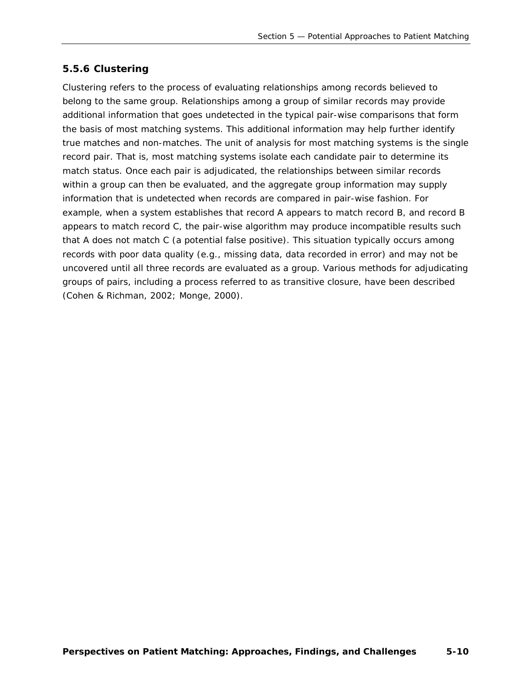#### <span id="page-29-0"></span>*5.5.6 Clustering*

*Clustering* refers to the process of evaluating relationships among records believed to belong to the same group. Relationships among a group of similar records may provide additional information that goes undetected in the typical pair-wise comparisons that form the basis of most matching systems. This additional information may help further identify true matches and non-matches. The unit of analysis for most matching systems is the single record pair. That is, most matching systems isolate each candidate pair to determine its match status. Once each pair is adjudicated, the relationships between similar records within a group can then be evaluated, and the aggregate group information may supply information that is undetected when records are compared in pair-wise fashion. For example, when a system establishes that record A appears to match record B, and record B appears to match record C, the pair-wise algorithm may produce incompatible results such that A does not match C (a potential false positive). This situation typically occurs among records with poor data quality (e.g., missing data, data recorded in error) and may not be uncovered until all three records are evaluated as a group. Various methods for adjudicating groups of pairs, including a process referred to as *transitive closure,* have been described (Cohen & Richman, 2002; Monge, 2000).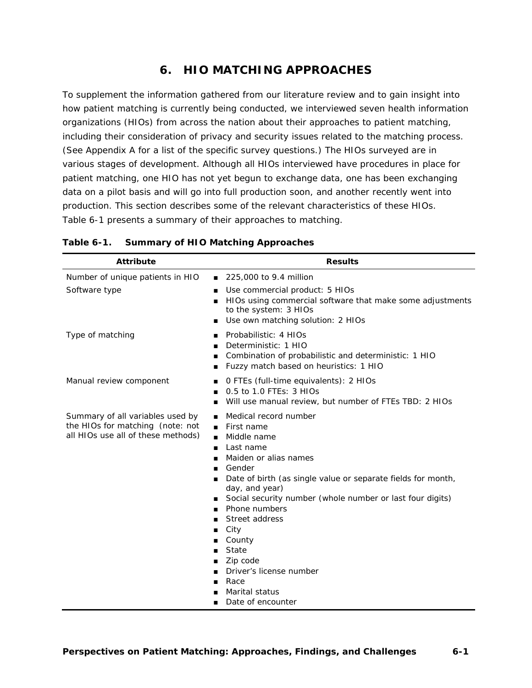# **6. HIO MATCHING APPROACHES**

<span id="page-30-0"></span>To supplement the information gathered from our literature review and to gain insight into how patient matching is currently being conducted, we interviewed seven health information organizations (HIOs) from across the nation about their approaches to patient matching, including their consideration of privacy and security issues related to the matching process. (See Appendix A for a list of the specific survey questions.) The HIOs surveyed are in various stages of development. Although all HIOs interviewed have procedures in place for patient matching, one HIO has not yet begun to exchange data, one has been exchanging data on a pilot basis and will go into full production soon, and another recently went into production. This section describes some of the relevant characteristics of these HIOs. Table 6-1 presents a summary of their approaches to matching.

| <b>Attribute</b>                                                                                           | <b>Results</b>                                                                                                                                                                                                                                                                                                                                                                                                                                           |  |
|------------------------------------------------------------------------------------------------------------|----------------------------------------------------------------------------------------------------------------------------------------------------------------------------------------------------------------------------------------------------------------------------------------------------------------------------------------------------------------------------------------------------------------------------------------------------------|--|
| Number of unique patients in HIO                                                                           | 225,000 to 9.4 million<br>$\blacksquare$                                                                                                                                                                                                                                                                                                                                                                                                                 |  |
| Software type                                                                                              | Use commercial product: 5 HIOs<br>п<br>HIOs using commercial software that make some adjustments<br>to the system: 3 HIOs<br>Use own matching solution: 2 HIOs                                                                                                                                                                                                                                                                                           |  |
| Type of matching                                                                                           | Probabilistic: 4 HIOs<br>Deterministic: 1 HIO<br>п<br>Combination of probabilistic and deterministic: 1 HIO<br>п<br>Fuzzy match based on heuristics: 1 HIO<br>п                                                                                                                                                                                                                                                                                          |  |
| Manual review component                                                                                    | 0 FTEs (full-time equivalents): 2 HIOs<br>0.5 to 1.0 FTEs: 3 HIOs<br>$\blacksquare$<br>Will use manual review, but number of FTEs TBD: 2 HIOs<br>$\blacksquare$                                                                                                                                                                                                                                                                                          |  |
| Summary of all variables used by<br>the HIOs for matching (note: not<br>all HIOs use all of these methods) | Medical record number<br>First name<br>Middle name<br>$\blacksquare$<br>Last name<br>п<br>Maiden or alias names<br>$\blacksquare$<br>Gender<br>Date of birth (as single value or separate fields for month,<br>day, and year)<br>Social security number (whole number or last four digits)<br>Phone numbers<br>Street address<br>City<br>п<br>County<br>State<br>Zip code<br>Driver's license number<br>Race<br>п<br>Marital status<br>Date of encounter |  |

#### <span id="page-30-1"></span>**Table 6-1. Summary of HIO Matching Approaches**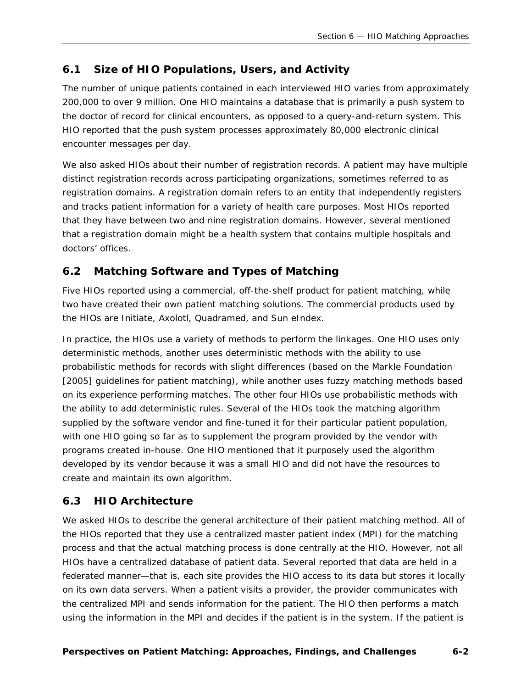# <span id="page-31-0"></span>**6.1 Size of HIO Populations, Users, and Activity**

The number of unique patients contained in each interviewed HIO varies from approximately 200,000 to over 9 million. One HIO maintains a database that is primarily a push system to the doctor of record for clinical encounters, as opposed to a query-and-return system. This HIO reported that the push system processes approximately 80,000 electronic clinical encounter messages per day.

We also asked HIOs about their number of registration records. A patient may have multiple distinct registration records across participating organizations, sometimes referred to as *registration domains*. A registration domain refers to an entity that independently registers and tracks patient information for a variety of health care purposes. Most HIOs reported that they have between two and nine registration domains. However, several mentioned that a registration domain might be a health system that contains multiple hospitals and doctors' offices.

# <span id="page-31-1"></span>**6.2 Matching Software and Types of Matching**

Five HIOs reported using a commercial, off-the-shelf product for patient matching, while two have created their own patient matching solutions. The commercial products used by the HIOs are Initiate, Axolotl, Quadramed, and Sun eIndex.

In practice, the HIOs use a variety of methods to perform the linkages. One HIO uses only deterministic methods, another uses deterministic methods with the ability to use probabilistic methods for records with slight differences (based on the Markle Foundation [2005] guidelines for patient matching), while another uses fuzzy matching methods based on its experience performing matches. The other four HIOs use probabilistic methods with the ability to add deterministic rules. Several of the HIOs took the matching algorithm supplied by the software vendor and fine-tuned it for their particular patient population, with one HIO going so far as to supplement the program provided by the vendor with programs created in-house. One HIO mentioned that it purposely used the algorithm developed by its vendor because it was a small HIO and did not have the resources to create and maintain its own algorithm.

# <span id="page-31-2"></span>**6.3 HIO Architecture**

We asked HIOs to describe the general architecture of their patient matching method. All of the HIOs reported that they use a centralized master patient index (MPI) for the matching process and that the actual matching process is done centrally at the HIO. However, not all HIOs have a centralized database of patient data. Several reported that data are held in a federated manner—that is, each site provides the HIO access to its data but stores it locally on its own data servers. When a patient visits a provider, the provider communicates with the centralized MPI and sends information for the patient. The HIO then performs a match using the information in the MPI and decides if the patient is in the system. If the patient is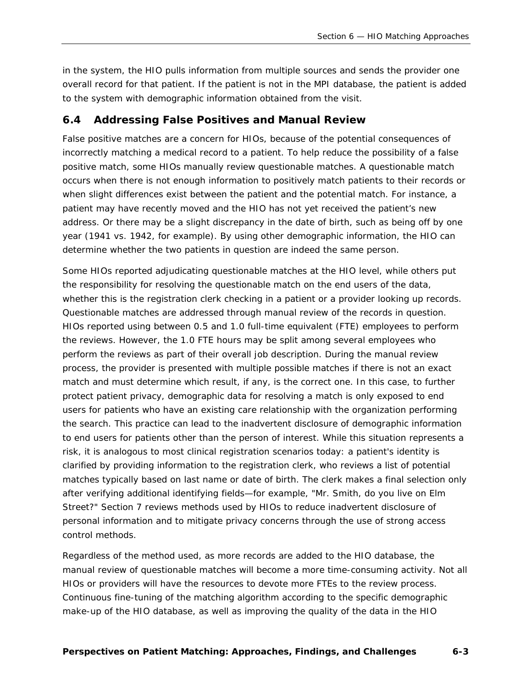in the system, the HIO pulls information from multiple sources and sends the provider one overall record for that patient. If the patient is not in the MPI database, the patient is added to the system with demographic information obtained from the visit.

#### <span id="page-32-0"></span>**6.4 Addressing False Positives and Manual Review**

False positive matches are a concern for HIOs, because of the potential consequences of incorrectly matching a medical record to a patient. To help reduce the possibility of a false positive match, some HIOs manually review questionable matches. A questionable match occurs when there is not enough information to positively match patients to their records or when slight differences exist between the patient and the potential match. For instance, a patient may have recently moved and the HIO has not yet received the patient's new address. Or there may be a slight discrepancy in the date of birth, such as being off by one year (1941 vs. 1942, for example). By using other demographic information, the HIO can determine whether the two patients in question are indeed the same person.

Some HIOs reported adjudicating questionable matches at the HIO level, while others put the responsibility for resolving the questionable match on the end users of the data, whether this is the registration clerk checking in a patient or a provider looking up records. Questionable matches are addressed through manual review of the records in question. HIOs reported using between 0.5 and 1.0 full-time equivalent (FTE) employees to perform the reviews. However, the 1.0 FTE hours may be split among several employees who perform the reviews as part of their overall job description. During the manual review process, the provider is presented with multiple possible matches if there is not an exact match and must determine which result, if any, is the correct one. In this case, to further protect patient privacy, demographic data for resolving a match is only exposed to end users for patients who have an existing care relationship with the organization performing the search. This practice can lead to the inadvertent disclosure of demographic information to end users for patients other than the person of interest. While this situation represents a risk, it is analogous to most clinical registration scenarios today: a patient's identity is clarified by providing information to the registration clerk, who reviews a list of potential matches typically based on last name or date of birth. The clerk makes a final selection only after verifying additional identifying fields—for example, "Mr. Smith, do you live on Elm Street?" Section 7 reviews methods used by HIOs to reduce inadvertent disclosure of personal information and to mitigate privacy concerns through the use of strong access control methods.

Regardless of the method used, as more records are added to the HIO database, the manual review of questionable matches will become a more time-consuming activity. Not all HIOs or providers will have the resources to devote more FTEs to the review process. Continuous fine-tuning of the matching algorithm according to the specific demographic make-up of the HIO database, as well as improving the quality of the data in the HIO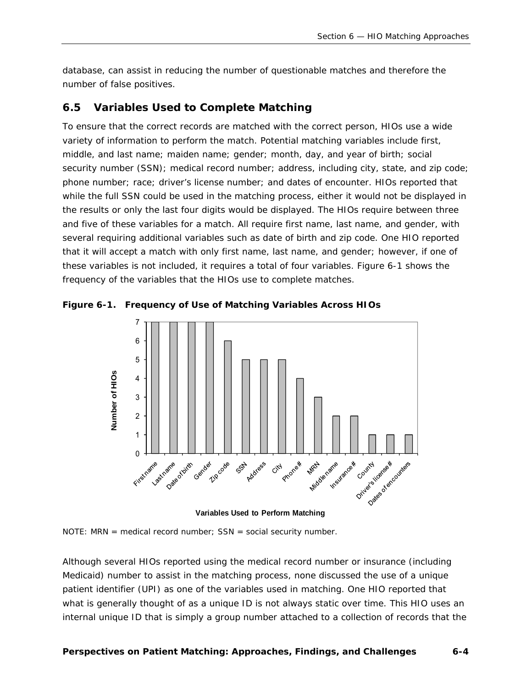database, can assist in reducing the number of questionable matches and therefore the number of false positives.

#### <span id="page-33-0"></span>**6.5 Variables Used to Complete Matching**

To ensure that the correct records are matched with the correct person, HIOs use a wide variety of information to perform the match. Potential matching variables include first, middle, and last name; maiden name; gender; month, day, and year of birth; social security number (SSN); medical record number; address, including city, state, and zip code; phone number; race; driver's license number; and dates of encounter. HIOs reported that while the full SSN could be used in the matching process, either it would not be displayed in the results or only the last four digits would be displayed. The HIOs require between three and five of these variables for a match. All require first name, last name, and gender, with several requiring additional variables such as date of birth and zip code. One HIO reported that it will accept a match with only first name, last name, and gender; however, if one of these variables is not included, it requires a total of four variables. Figure 6-1 shows the frequency of the variables that the HIOs use to complete matches.



<span id="page-33-1"></span>**Figure 6-1. Frequency of Use of Matching Variables Across HIOs** 

**Variables Used to Perform Matching**

NOTE: MRN = medical record number;  $SSN = social security number$ .

Although several HIOs reported using the medical record number or insurance (including Medicaid) number to assist in the matching process, none discussed the use of a unique patient identifier (UPI) as one of the variables used in matching. One HIO reported that what is generally thought of as a unique ID is not always static over time. This HIO uses an internal unique ID that is simply a group number attached to a collection of records that the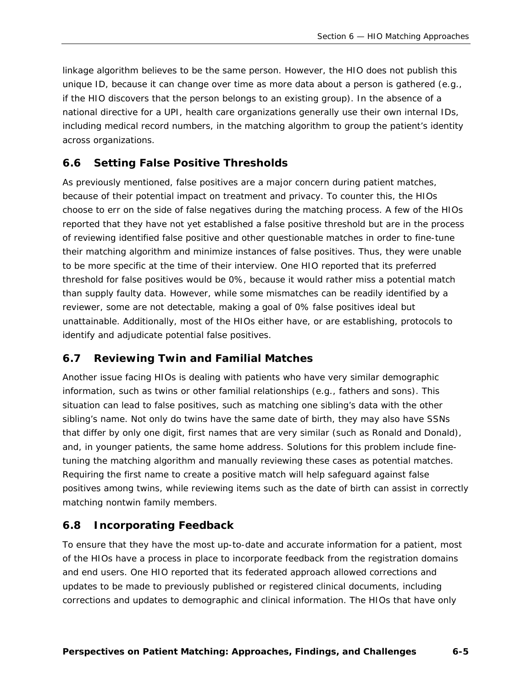linkage algorithm believes to be the same person. However, the HIO does not publish this unique ID, because it can change over time as more data about a person is gathered (e.g., if the HIO discovers that the person belongs to an existing group). In the absence of a national directive for a UPI, health care organizations generally use their own internal IDs, including medical record numbers, in the matching algorithm to group the patient's identity across organizations.

#### <span id="page-34-0"></span>**6.6 Setting False Positive Thresholds**

As previously mentioned, false positives are a major concern during patient matches, because of their potential impact on treatment and privacy. To counter this, the HIOs choose to err on the side of false negatives during the matching process. A few of the HIOs reported that they have not yet established a false positive threshold but are in the process of reviewing identified false positive and other questionable matches in order to fine-tune their matching algorithm and minimize instances of false positives. Thus, they were unable to be more specific at the time of their interview. One HIO reported that its preferred threshold for false positives would be 0%, because it would rather miss a potential match than supply faulty data. However, while some mismatches can be readily identified by a reviewer, some are not detectable, making a goal of 0% false positives ideal but unattainable. Additionally, most of the HIOs either have, or are establishing, protocols to identify and adjudicate potential false positives.

#### <span id="page-34-1"></span>**6.7 Reviewing Twin and Familial Matches**

Another issue facing HIOs is dealing with patients who have very similar demographic information, such as twins or other familial relationships (e.g., fathers and sons). This situation can lead to false positives, such as matching one sibling's data with the other sibling's name. Not only do twins have the same date of birth, they may also have SSNs that differ by only one digit, first names that are very similar (such as Ronald and Donald), and, in younger patients, the same home address. Solutions for this problem include finetuning the matching algorithm and manually reviewing these cases as potential matches. Requiring the first name to create a positive match will help safeguard against false positives among twins, while reviewing items such as the date of birth can assist in correctly matching nontwin family members.

#### <span id="page-34-2"></span>**6.8 Incorporating Feedback**

To ensure that they have the most up-to-date and accurate information for a patient, most of the HIOs have a process in place to incorporate feedback from the registration domains and end users. One HIO reported that its federated approach allowed corrections and updates to be made to previously published or registered clinical documents, including corrections and updates to demographic and clinical information. The HIOs that have only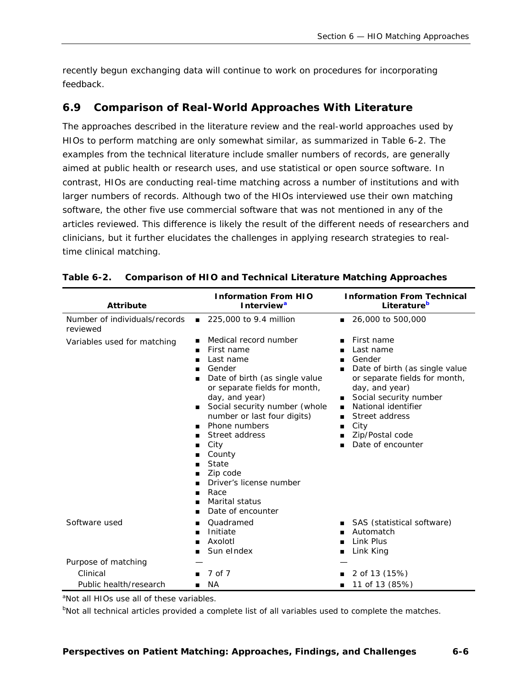recently begun exchanging data will continue to work on procedures for incorporating feedback.

#### <span id="page-35-0"></span>**6.9 Comparison of Real-World Approaches With Literature**

The approaches described in the literature review and the real-world approaches used by HIOs to perform matching are only somewhat similar, as summarized in Table 6-2. The examples from the technical literature include smaller numbers of records, are generally aimed at public health or research uses, and use statistical or open source software. In contrast, HIOs are conducting real-time matching across a number of institutions and with larger numbers of records. Although two of the HIOs interviewed use their own matching software, the other five use commercial software that was not mentioned in any of the articles reviewed. This difference is likely the result of the different needs of researchers and clinicians, but it further elucidates the challenges in applying research strategies to realtime clinical matching.

| <b>Attribute</b>                          | <b>Information From HIO</b><br>Interview <sup>a</sup>                                                                                                                                                                                                                                                                                                                                                                                     | <b>Information From Technical</b><br>Literature <sup>b</sup>                                                                                                                                                                                                                                      |
|-------------------------------------------|-------------------------------------------------------------------------------------------------------------------------------------------------------------------------------------------------------------------------------------------------------------------------------------------------------------------------------------------------------------------------------------------------------------------------------------------|---------------------------------------------------------------------------------------------------------------------------------------------------------------------------------------------------------------------------------------------------------------------------------------------------|
| Number of individuals/records<br>reviewed | 225,000 to 9.4 million<br>$\blacksquare$                                                                                                                                                                                                                                                                                                                                                                                                  | 26,000 to 500,000<br>$\blacksquare$                                                                                                                                                                                                                                                               |
| Variables used for matching               | Medical record number<br>п<br>First name<br>■<br>Last name<br>■<br>Gender<br>п<br>Date of birth (as single value<br>п<br>or separate fields for month,<br>day, and year)<br>Social security number (whole<br>п<br>number or last four digits)<br>Phone numbers<br>■<br>Street address<br>■<br>City<br>■<br>County<br>State<br>■<br>Zip code<br>п<br>Driver's license number<br>Race<br>п<br>Marital status<br>п<br>Date of encounter<br>■ | First name<br>Last name<br>Gender<br>Date of birth (as single value<br>п<br>or separate fields for month,<br>day, and year)<br>Social security number<br>п<br>National identifier<br>$\blacksquare$<br>Street address<br>■<br>City<br>$\blacksquare$<br>Zip/Postal code<br>п<br>Date of encounter |
| Software used                             | Quadramed<br>■<br>Initiate<br>■<br>Axolotl<br>■<br>Sun eIndex<br>■                                                                                                                                                                                                                                                                                                                                                                        | SAS (statistical software)<br>Automatch<br>Link Plus<br>■<br>Link King<br>п                                                                                                                                                                                                                       |
| Purpose of matching                       |                                                                                                                                                                                                                                                                                                                                                                                                                                           |                                                                                                                                                                                                                                                                                                   |
| Clinical                                  | 7 of 7                                                                                                                                                                                                                                                                                                                                                                                                                                    | 2 of 13 (15%)                                                                                                                                                                                                                                                                                     |
| Public health/research                    | NA.                                                                                                                                                                                                                                                                                                                                                                                                                                       | 11 of 13 (85%)                                                                                                                                                                                                                                                                                    |

<span id="page-35-1"></span>

|  | Table 6-2. | <b>Comparison of HIO and Technical Literature Matching Approaches</b> |
|--|------------|-----------------------------------------------------------------------|
|--|------------|-----------------------------------------------------------------------|

<span id="page-35-2"></span><sup>a</sup>Not all HIOs use all of these variables.

<span id="page-35-3"></span><sup>b</sup>Not all technical articles provided a complete list of all variables used to complete the matches.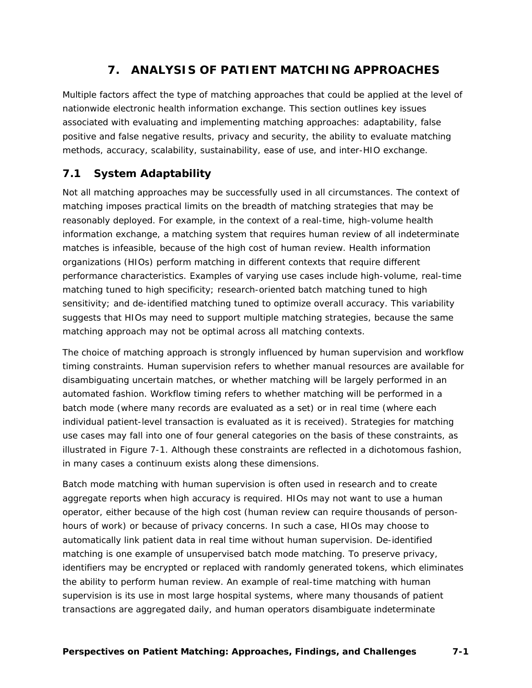# **7. ANALYSIS OF PATIENT MATCHING APPROACHES**

<span id="page-36-0"></span>Multiple factors affect the type of matching approaches that could be applied at the level of nationwide electronic health information exchange. This section outlines key issues associated with evaluating and implementing matching approaches: adaptability, false positive and false negative results, privacy and security, the ability to evaluate matching methods, accuracy, scalability, sustainability, ease of use, and inter-HIO exchange.

# <span id="page-36-1"></span>**7.1 System Adaptability**

Not all matching approaches may be successfully used in all circumstances. The context of matching imposes practical limits on the breadth of matching strategies that may be reasonably deployed. For example, in the context of a real-time, high-volume health information exchange, a matching system that requires human review of all indeterminate matches is infeasible, because of the high cost of human review. Health information organizations (HIOs) perform matching in different contexts that require different performance characteristics. Examples of varying use cases include high-volume, real-time matching tuned to high specificity; research-oriented batch matching tuned to high sensitivity; and de-identified matching tuned to optimize overall accuracy. This variability suggests that HIOs may need to support multiple matching strategies, because the same matching approach may not be optimal across all matching contexts.

The choice of matching approach is strongly influenced by human supervision and workflow timing constraints. *Human supervision* refers to whether manual resources are available for disambiguating uncertain matches, or whether matching will be largely performed in an automated fashion. *Workflow timing* refers to whether matching will be performed in a batch mode (where many records are evaluated as a set) or in real time (where each individual patient-level transaction is evaluated as it is received). Strategies for matching use cases may fall into one of four general categories on the basis of these constraints, as illustrated in Figure 7-1. Although these constraints are reflected in a dichotomous fashion, in many cases a continuum exists along these dimensions.

Batch mode matching with human supervision is often used in research and to create aggregate reports when high accuracy is required. HIOs may not want to use a human operator, either because of the high cost (human review can require thousands of personhours of work) or because of privacy concerns. In such a case, HIOs may choose to automatically link patient data in real time without human supervision. De-identified matching is one example of unsupervised batch mode matching. To preserve privacy, identifiers may be encrypted or replaced with randomly generated tokens, which eliminates the ability to perform human review. An example of real-time matching with human supervision is its use in most large hospital systems, where many thousands of patient transactions are aggregated daily, and human operators disambiguate indeterminate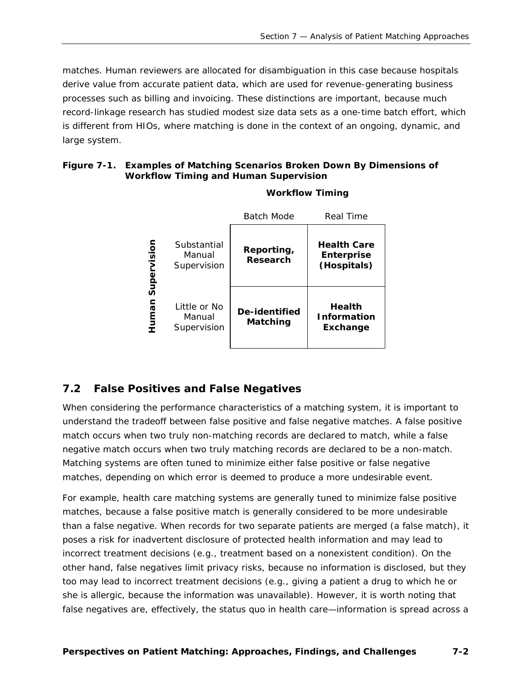matches. Human reviewers are allocated for disambiguation in this case because hospitals derive value from accurate patient data, which are used for revenue-generating business processes such as billing and invoicing. These distinctions are important, because much record-linkage research has studied modest size data sets as a one-time batch effort, which is different from HIOs, where matching is done in the context of an ongoing, dynamic, and large system.

#### <span id="page-37-1"></span>**Figure 7-1. Examples of Matching Scenarios Broken Down By Dimensions of Workflow Timing and Human Supervision**

|             |                                       | <b>Batch Mode</b>         | Real Time                                              |
|-------------|---------------------------------------|---------------------------|--------------------------------------------------------|
| Supervision | Substantial<br>Manual<br>Supervision  | Reporting,<br>Research    | <b>Health Care</b><br><b>Enterprise</b><br>(Hospitals) |
| nsunh       | Little or No<br>Manual<br>Supervision | De-identified<br>Matching | <b>Health</b><br><b>Information</b><br>Exchange        |

#### **Workflow Timing**

#### <span id="page-37-0"></span>**7.2 False Positives and False Negatives**

When considering the performance characteristics of a matching system, it is important to understand the tradeoff between false positive and false negative matches. A false positive match occurs when two truly non-matching records are declared to match, while a false negative match occurs when two truly matching records are declared to be a non-match. Matching systems are often tuned to minimize either false positive or false negative matches, depending on which error is deemed to produce a more undesirable event.

For example, health care matching systems are generally tuned to minimize false positive matches, because a false positive match is generally considered to be more undesirable than a false negative. When records for two separate patients are merged (a false match), it poses a risk for inadvertent disclosure of protected health information and may lead to incorrect treatment decisions (e.g., treatment based on a nonexistent condition). On the other hand, false negatives limit privacy risks, because no information is disclosed, but they too may lead to incorrect treatment decisions (e.g., giving a patient a drug to which he or she is allergic, because the information was unavailable). However, it is worth noting that false negatives are, effectively, the status quo in health care—information is spread across a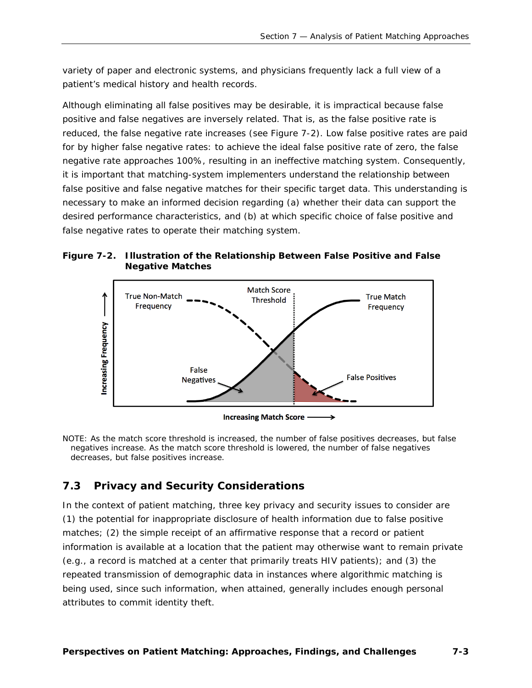variety of paper and electronic systems, and physicians frequently lack a full view of a patient's medical history and health records.

Although eliminating all false positives may be desirable, it is impractical because false positive and false negatives are inversely related. That is, as the false positive rate is reduced, the false negative rate increases (see Figure 7-2). Low false positive rates are paid for by higher false negative rates: to achieve the ideal false positive rate of zero, the false negative rate approaches 100%, resulting in an ineffective matching system. Consequently, it is important that matching-system implementers understand the relationship between false positive and false negative matches for their specific target data. This understanding is necessary to make an informed decision regarding (a) whether their data can support the desired performance characteristics, and (b) at which specific choice of false positive and false negative rates to operate their matching system.

<span id="page-38-1"></span>



NOTE: As the match score threshold is increased, the number of false positives decreases, but false negatives increase. As the match score threshold is lowered, the number of false negatives decreases, but false positives increase.

# <span id="page-38-0"></span>**7.3 Privacy and Security Considerations**

In the context of patient matching, three key privacy and security issues to consider are (1) the potential for inappropriate disclosure of health information due to false positive matches; (2) the simple receipt of an affirmative response that a record or patient information is available at a location that the patient may otherwise want to remain private (e.g., a record is matched at a center that primarily treats HIV patients); and (3) the repeated transmission of demographic data in instances where algorithmic matching is being used, since such information, when attained, generally includes enough personal attributes to commit identity theft.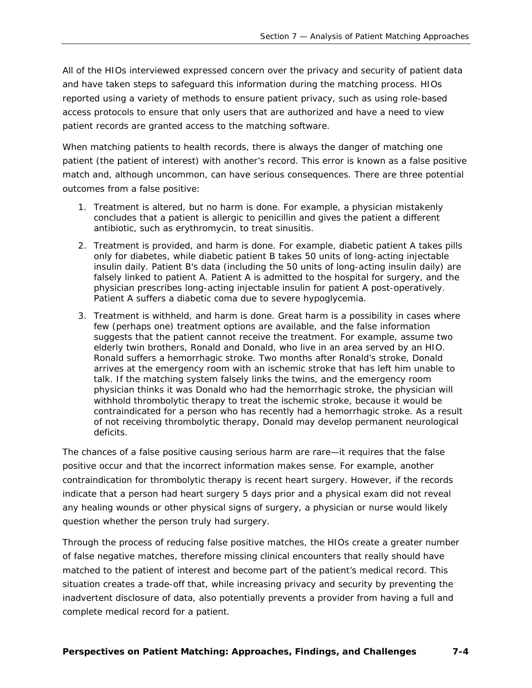All of the HIOs interviewed expressed concern over the privacy and security of patient data and have taken steps to safeguard this information during the matching process. HIOs reported using a variety of methods to ensure patient privacy, such as using role-based access protocols to ensure that only users that are authorized and have a need to view patient records are granted access to the matching software.

When matching patients to health records, there is always the danger of matching one patient (the patient of interest) with another's record. This error is known as a false positive match and, although uncommon, can have serious consequences. There are three potential outcomes from a false positive:

- 1. Treatment is altered, but no harm is done. For example, a physician mistakenly concludes that a patient is allergic to penicillin and gives the patient a different antibiotic, such as erythromycin, to treat sinusitis.
- 2. Treatment is provided, and harm is done. For example, diabetic patient A takes pills only for diabetes, while diabetic patient B takes 50 units of long-acting injectable insulin daily. Patient B's data (including the 50 units of long-acting insulin daily) are falsely linked to patient A. Patient A is admitted to the hospital for surgery, and the physician prescribes long-acting injectable insulin for patient A post-operatively. Patient A suffers a diabetic coma due to severe hypoglycemia.
- 3. Treatment is withheld, and harm is done. Great harm is a possibility in cases where few (perhaps one) treatment options are available, and the false information suggests that the patient cannot receive the treatment. For example, assume two elderly twin brothers, Ronald and Donald, who live in an area served by an HIO. Ronald suffers a hemorrhagic stroke. Two months after Ronald's stroke, Donald arrives at the emergency room with an ischemic stroke that has left him unable to talk. If the matching system falsely links the twins, and the emergency room physician thinks it was Donald who had the hemorrhagic stroke, the physician will withhold thrombolytic therapy to treat the ischemic stroke, because it would be contraindicated for a person who has recently had a hemorrhagic stroke. As a result of not receiving thrombolytic therapy, Donald may develop permanent neurological deficits.

The chances of a false positive causing serious harm are rare—it requires that the false positive occur and that the incorrect information makes sense. For example, another contraindication for thrombolytic therapy is recent heart surgery. However, if the records indicate that a person had heart surgery 5 days prior and a physical exam did not reveal any healing wounds or other physical signs of surgery, a physician or nurse would likely question whether the person truly had surgery.

Through the process of reducing false positive matches, the HIOs create a greater number of false negative matches, therefore missing clinical encounters that really should have matched to the patient of interest and become part of the patient's medical record. This situation creates a trade-off that, while increasing privacy and security by preventing the inadvertent disclosure of data, also potentially prevents a provider from having a full and complete medical record for a patient.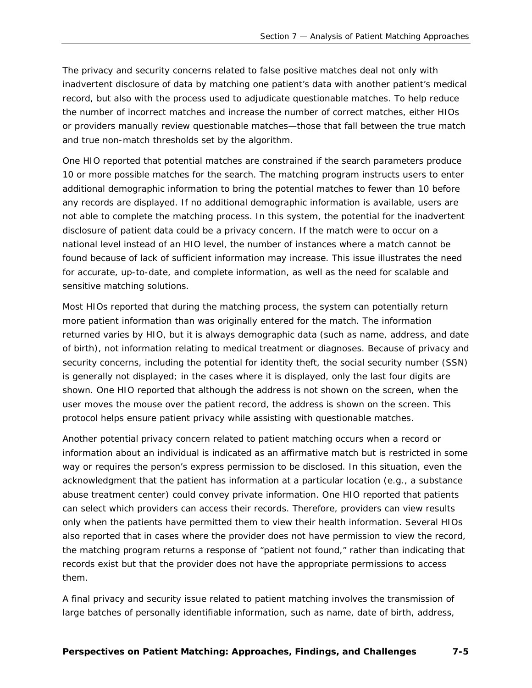The privacy and security concerns related to false positive matches deal not only with inadvertent disclosure of data by matching one patient's data with another patient's medical record, but also with the process used to adjudicate questionable matches. To help reduce the number of incorrect matches and increase the number of correct matches, either HIOs or providers manually review questionable matches—those that fall between the true match and true non-match thresholds set by the algorithm.

One HIO reported that potential matches are constrained if the search parameters produce 10 or more possible matches for the search. The matching program instructs users to enter additional demographic information to bring the potential matches to fewer than 10 before any records are displayed. If no additional demographic information is available, users are not able to complete the matching process. In this system, the potential for the inadvertent disclosure of patient data could be a privacy concern. If the match were to occur on a national level instead of an HIO level, the number of instances where a match cannot be found because of lack of sufficient information may increase. This issue illustrates the need for accurate, up-to-date, and complete information, as well as the need for scalable and sensitive matching solutions.

Most HIOs reported that during the matching process, the system can potentially return more patient information than was originally entered for the match. The information returned varies by HIO, but it is always demographic data (such as name, address, and date of birth), not information relating to medical treatment or diagnoses. Because of privacy and security concerns, including the potential for identity theft, the social security number (SSN) is generally not displayed; in the cases where it is displayed, only the last four digits are shown. One HIO reported that although the address is not shown on the screen, when the user moves the mouse over the patient record, the address is shown on the screen. This protocol helps ensure patient privacy while assisting with questionable matches.

Another potential privacy concern related to patient matching occurs when a record or information about an individual is indicated as an affirmative match but is restricted in some way or requires the person's express permission to be disclosed. In this situation, even the acknowledgment that the patient has information at a particular location (e.g., a substance abuse treatment center) could convey private information. One HIO reported that patients can select which providers can access their records. Therefore, providers can view results only when the patients have permitted them to view their health information. Several HIOs also reported that in cases where the provider does not have permission to view the record, the matching program returns a response of "patient not found," rather than indicating that records exist but that the provider does not have the appropriate permissions to access them.

A final privacy and security issue related to patient matching involves the transmission of large batches of personally identifiable information, such as name, date of birth, address,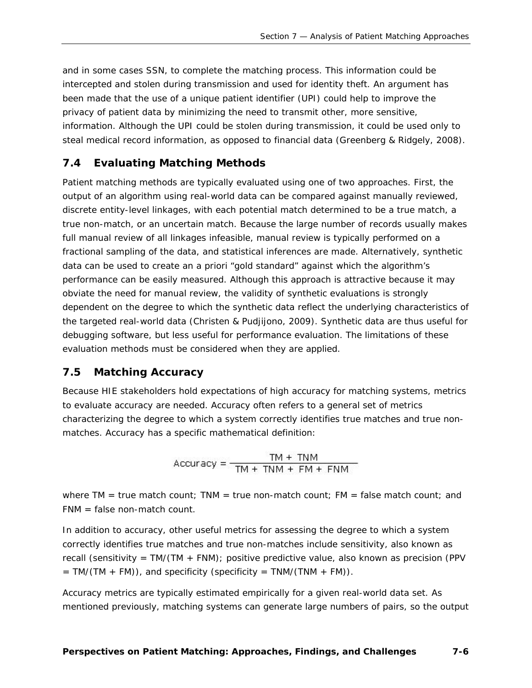and in some cases SSN, to complete the matching process. This information could be intercepted and stolen during transmission and used for identity theft. An argument has been made that the use of a unique patient identifier (UPI) could help to improve the privacy of patient data by minimizing the need to transmit other, more sensitive, information. Although the UPI could be stolen during transmission, it could be used only to steal medical record information, as opposed to financial data (Greenberg & Ridgely, 2008).

#### <span id="page-41-0"></span>**7.4 Evaluating Matching Methods**

Patient matching methods are typically evaluated using one of two approaches. First, the output of an algorithm using real-world data can be compared against manually reviewed, discrete entity-level linkages, with each potential match determined to be a true match, a true non-match, or an uncertain match. Because the large number of records usually makes full manual review of all linkages infeasible, manual review is typically performed on a fractional sampling of the data, and statistical inferences are made. Alternatively, synthetic data can be used to create an a priori "gold standard" against which the algorithm's performance can be easily measured. Although this approach is attractive because it may obviate the need for manual review, the validity of synthetic evaluations is strongly dependent on the degree to which the synthetic data reflect the underlying characteristics of the targeted real-world data (Christen & Pudjijono, 2009). Synthetic data are thus useful for debugging software, but less useful for performance evaluation. The limitations of these evaluation methods must be considered when they are applied.

#### <span id="page-41-1"></span>**7.5 Matching Accuracy**

Because HIE stakeholders hold expectations of high accuracy for matching systems, metrics to evaluate accuracy are needed. *Accuracy* often refers to a general set of metrics characterizing the degree to which a system correctly identifies true matches and true nonmatches. Accuracy has a specific mathematical definition:

Accuracy =  $\frac{TM + TNM}{TM + TNM + FM + FNM}$ 

where TM = true match count; TNM = true non-match count; FM = false match count; and FNM = false non-match count.

In addition to accuracy, other useful metrics for assessing the degree to which a system correctly identifies true matches and true non-matches include sensitivity, also known as recall (sensitivity = TM/(TM + FNM); positive predictive value, also known as precision (PPV  $= TM/(TM + FM)$ , and specificity (specificity  $= TM/(TM + FM)$ ).

Accuracy metrics are typically estimated empirically for a given real-world data set. As mentioned previously, matching systems can generate large numbers of pairs, so the output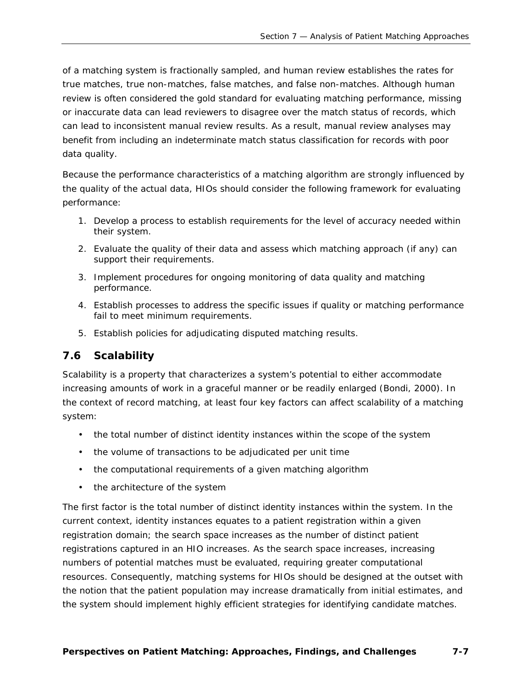of a matching system is fractionally sampled, and human review establishes the rates for true matches, true non-matches, false matches, and false non-matches. Although human review is often considered the gold standard for evaluating matching performance, missing or inaccurate data can lead reviewers to disagree over the match status of records, which can lead to inconsistent manual review results. As a result, manual review analyses may benefit from including an indeterminate match status classification for records with poor data quality.

Because the performance characteristics of a matching algorithm are strongly influenced by the quality of the actual data, HIOs should consider the following framework for evaluating performance:

- 1. Develop a process to establish requirements for the level of accuracy needed within their system.
- 2. Evaluate the quality of their data and assess which matching approach (if any) can support their requirements.
- 3. Implement procedures for ongoing monitoring of data quality and matching performance.
- 4. Establish processes to address the specific issues if quality or matching performance fail to meet minimum requirements.
- 5. Establish policies for adjudicating disputed matching results.

# <span id="page-42-0"></span>**7.6 Scalability**

*Scalability* is a property that characterizes a system's potential to either accommodate increasing amounts of work in a graceful manner or be readily enlarged (Bondi, 2000). In the context of record matching, at least four key factors can affect scalability of a matching system:

- the total number of distinct identity instances within the scope of the system
- the volume of transactions to be adjudicated per unit time
- the computational requirements of a given matching algorithm
- the architecture of the system

The first factor is the total number of distinct identity instances within the system. In the current context, *identity instances* equates to a patient registration within a given registration domain; the search space increases as the number of distinct patient registrations captured in an HIO increases. As the search space increases, increasing numbers of potential matches must be evaluated, requiring greater computational resources. Consequently, matching systems for HIOs should be designed at the outset with the notion that the patient population may increase dramatically from initial estimates, and the system should implement highly efficient strategies for identifying candidate matches.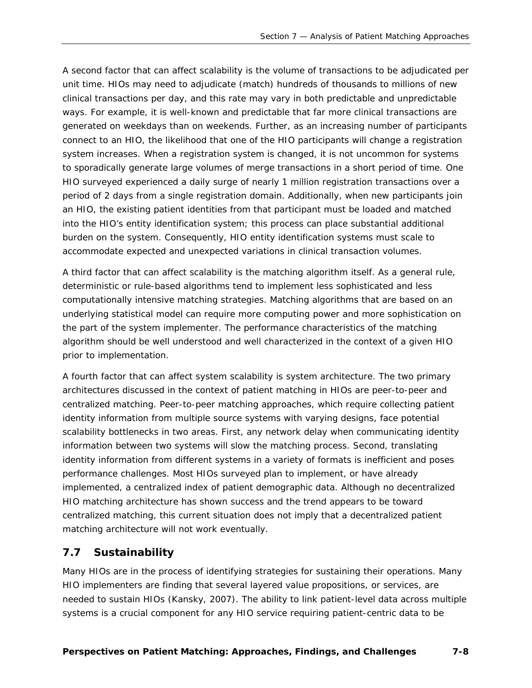A second factor that can affect scalability is the volume of transactions to be adjudicated per unit time. HIOs may need to adjudicate (match) hundreds of thousands to millions of new clinical transactions per day, and this rate may vary in both predictable and unpredictable ways. For example, it is well-known and predictable that far more clinical transactions are generated on weekdays than on weekends. Further, as an increasing number of participants connect to an HIO, the likelihood that one of the HIO participants will change a registration system increases. When a registration system is changed, it is not uncommon for systems to sporadically generate large volumes of merge transactions in a short period of time. One HIO surveyed experienced a daily surge of nearly 1 million registration transactions over a period of 2 days from a *single* registration domain. Additionally, when new participants join an HIO, the existing patient identities from that participant must be loaded and matched into the HIO's entity identification system; this process can place substantial additional burden on the system. Consequently, HIO entity identification systems must scale to accommodate expected and unexpected variations in clinical transaction volumes.

A third factor that can affect scalability is the matching algorithm itself. As a general rule, deterministic or rule-based algorithms tend to implement less sophisticated and less computationally intensive matching strategies. Matching algorithms that are based on an underlying statistical model can require more computing power and more sophistication on the part of the system implementer. The performance characteristics of the matching algorithm should be well understood and well characterized in the context of a given HIO prior to implementation.

A fourth factor that can affect system scalability is system architecture. The two primary architectures discussed in the context of patient matching in HIOs are peer-to-peer and centralized matching. Peer-to-peer matching approaches, which require collecting patient identity information from multiple source systems with varying designs, face potential scalability bottlenecks in two areas. First, any network delay when communicating identity information between two systems will slow the matching process. Second, translating identity information from different systems in a variety of formats is inefficient and poses performance challenges. Most HIOs surveyed plan to implement, or have already implemented, a centralized index of patient demographic data. Although no decentralized HIO matching architecture has shown success and the trend appears to be toward centralized matching, this current situation does not imply that a decentralized patient matching architecture will not work eventually.

#### <span id="page-43-0"></span>**7.7 Sustainability**

Many HIOs are in the process of identifying strategies for sustaining their operations. Many HIO implementers are finding that several layered *value propositions,* or services, are needed to sustain HIOs (Kansky, 2007). The ability to link patient-level data across multiple systems is a crucial component for any HIO service requiring patient-centric data to be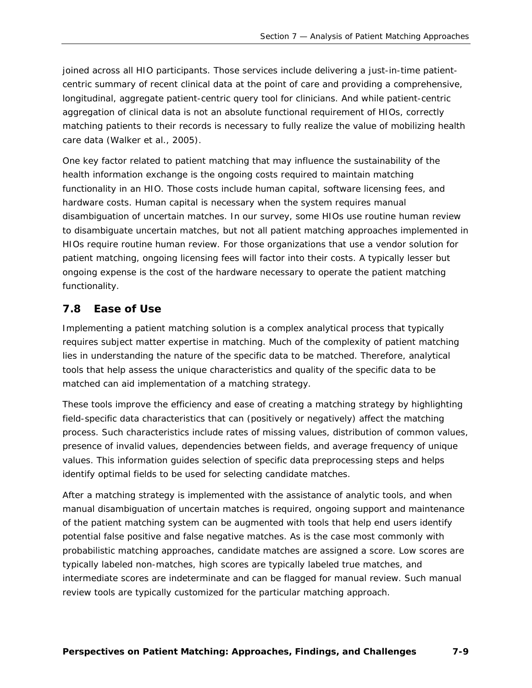joined across all HIO participants. Those services include delivering a just-in-time patientcentric summary of recent clinical data at the point of care and providing a comprehensive, longitudinal, aggregate patient-centric query tool for clinicians. And while patient-centric aggregation of clinical data is not an absolute functional requirement of HIOs, correctly matching patients to their records is necessary to fully realize the value of mobilizing health care data (Walker et al., 2005).

One key factor related to patient matching that may influence the sustainability of the health information exchange is the ongoing costs required to maintain matching functionality in an HIO. Those costs include human capital, software licensing fees, and hardware costs. Human capital is necessary when the system requires manual disambiguation of uncertain matches. In our survey, some HIOs use routine human review to disambiguate uncertain matches, but not all patient matching approaches implemented in HIOs require routine human review. For those organizations that use a vendor solution for patient matching, ongoing licensing fees will factor into their costs. A typically lesser but ongoing expense is the cost of the hardware necessary to operate the patient matching functionality.

#### <span id="page-44-0"></span>**7.8 Ease of Use**

Implementing a patient matching solution is a complex analytical process that typically requires subject matter expertise in matching. Much of the complexity of patient matching lies in understanding the nature of the specific data to be matched. Therefore, analytical tools that help assess the unique characteristics and quality of the specific data to be matched can aid implementation of a matching strategy.

These tools improve the efficiency and ease of creating a matching strategy by highlighting field-specific data characteristics that can (positively or negatively) affect the matching process. Such characteristics include rates of missing values, distribution of common values, presence of invalid values, dependencies between fields, and average frequency of unique values. This information guides selection of specific data preprocessing steps and helps identify optimal fields to be used for selecting candidate matches.

After a matching strategy is implemented with the assistance of analytic tools, and when manual disambiguation of uncertain matches is required, ongoing support and maintenance of the patient matching system can be augmented with tools that help end users identify potential false positive and false negative matches. As is the case most commonly with probabilistic matching approaches, candidate matches are assigned a score. Low scores are typically labeled non-matches, high scores are typically labeled true matches, and intermediate scores are indeterminate and can be flagged for manual review. Such manual review tools are typically customized for the particular matching approach.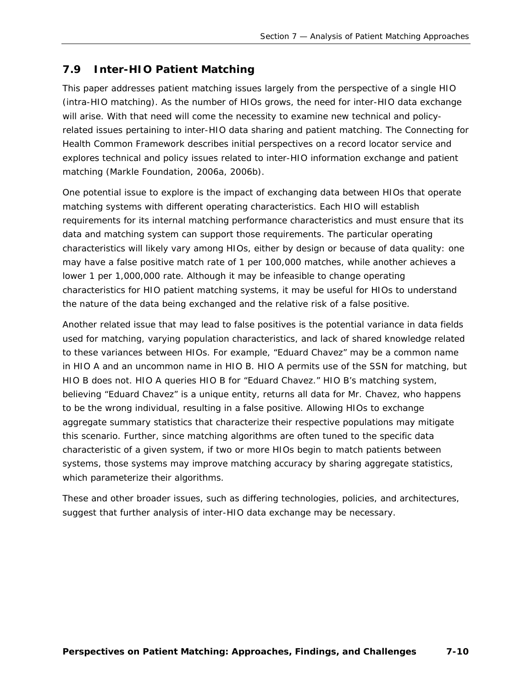# <span id="page-45-0"></span>**7.9 Inter-HIO Patient Matching**

This paper addresses patient matching issues largely from the perspective of a single HIO (*intra*-HIO matching). As the number of HIOs grows, the need for *inter*-HIO data exchange will arise. With that need will come the necessity to examine new technical and policyrelated issues pertaining to inter-HIO data sharing and patient matching. The Connecting for Health Common Framework describes initial perspectives on a record locator service and explores technical and policy issues related to inter-HIO information exchange and patient matching (Markle Foundation, 2006a, 2006b).

One potential issue to explore is the impact of exchanging data between HIOs that operate matching systems with different operating characteristics. Each HIO will establish requirements for its internal matching performance characteristics and must ensure that its data and matching system can support those requirements. The particular operating characteristics will likely vary among HIOs, either by design or because of data quality: one may have a false positive match rate of 1 per 100,000 matches, while another achieves a lower 1 per 1,000,000 rate. Although it may be infeasible to change operating characteristics for HIO patient matching systems, it may be useful for HIOs to understand the nature of the data being exchanged and the relative risk of a false positive.

Another related issue that may lead to false positives is the potential variance in data fields used for matching, varying population characteristics, and lack of shared knowledge related to these variances between HIOs. For example, "Eduard Chavez" may be a common name in HIO A and an uncommon name in HIO B. HIO A permits use of the SSN for matching, but HIO B does not. HIO A queries HIO B for "Eduard Chavez." HIO B's matching system, believing "Eduard Chavez" is a unique entity, returns all data for Mr. Chavez, who happens to be the wrong individual, resulting in a false positive. Allowing HIOs to exchange aggregate summary statistics that characterize their respective populations may mitigate this scenario. Further, since matching algorithms are often tuned to the specific data characteristic of a given system, if two or more HIOs begin to match patients between systems, those systems may improve matching accuracy by sharing aggregate statistics, which parameterize their algorithms.

These and other broader issues, such as differing technologies, policies, and architectures, suggest that further analysis of inter-HIO data exchange may be necessary.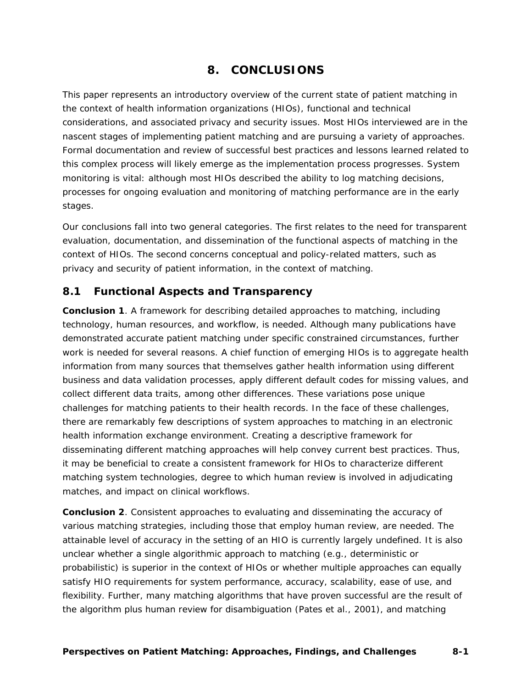# **8. CONCLUSIONS**

<span id="page-46-0"></span>This paper represents an introductory overview of the current state of patient matching in the context of health information organizations (HIOs), functional and technical considerations, and associated privacy and security issues. Most HIOs interviewed are in the nascent stages of implementing patient matching and are pursuing a variety of approaches. Formal documentation and review of successful best practices and lessons learned related to this complex process will likely emerge as the implementation process progresses. System monitoring is vital: although most HIOs described the ability to log matching decisions, processes for ongoing evaluation and monitoring of matching performance are in the early stages.

Our conclusions fall into two general categories. The first relates to the need for transparent evaluation, documentation, and dissemination of the functional aspects of matching in the context of HIOs. The second concerns conceptual and policy-related matters, such as privacy and security of patient information, in the context of matching.

#### <span id="page-46-1"></span>**8.1 Functional Aspects and Transparency**

**Conclusion 1**. A framework for describing detailed approaches to matching, including technology, human resources, and workflow, is needed. Although many publications have demonstrated accurate patient matching under specific constrained circumstances, further work is needed for several reasons. A chief function of emerging HIOs is to aggregate health information from many sources that themselves gather health information using different business and data validation processes, apply different default codes for missing values, and collect different data traits, among other differences. These variations pose unique challenges for matching patients to their health records. In the face of these challenges, there are remarkably few descriptions of system approaches to matching in an electronic health information exchange environment. Creating a descriptive framework for disseminating different matching approaches will help convey current best practices. Thus, it may be beneficial to create a consistent framework for HIOs to characterize different matching system technologies, degree to which human review is involved in adjudicating matches, and impact on clinical workflows.

**Conclusion 2**. Consistent approaches to evaluating and disseminating the accuracy of various matching strategies, including those that employ human review, are needed. The attainable level of accuracy in the setting of an HIO is currently largely undefined. It is also unclear whether a single algorithmic approach to matching (e.g., deterministic or probabilistic) is superior in the context of HIOs or whether multiple approaches can equally satisfy HIO requirements for system performance, accuracy, scalability, ease of use, and flexibility. Further, many matching algorithms that have proven successful are the result of the algorithm plus human review for disambiguation (Pates et al., 2001), and matching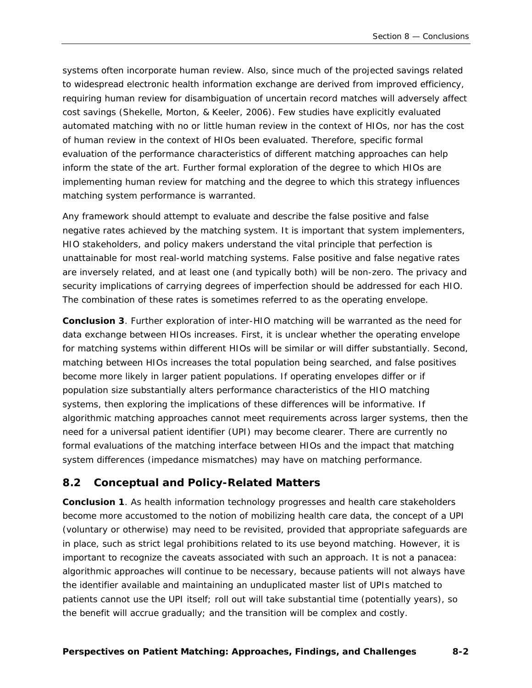systems often incorporate human review. Also, since much of the projected savings related to widespread electronic health information exchange are derived from improved efficiency, requiring human review for disambiguation of uncertain record matches will adversely affect cost savings (Shekelle, Morton, & Keeler, 2006). Few studies have explicitly evaluated automated matching with no or little human review in the context of HIOs, nor has the cost of human review in the context of HIOs been evaluated. Therefore, specific formal evaluation of the performance characteristics of different matching approaches can help inform the state of the art. Further formal exploration of the degree to which HIOs are implementing human review for matching and the degree to which this strategy influences matching system performance is warranted.

Any framework should attempt to evaluate and describe the false positive and false negative rates achieved by the matching system. It is important that system implementers, HIO stakeholders, and policy makers understand the vital principle that perfection is unattainable for most real-world matching systems. False positive and false negative rates are inversely related, and at least one (and typically both) will be non-zero. The privacy and security implications of carrying degrees of imperfection should be addressed for each HIO. The combination of these rates is sometimes referred to as the *operating envelope*.

**Conclusion 3**. Further exploration of inter-HIO matching will be warranted as the need for data exchange between HIOs increases. First, it is unclear whether the operating envelope for matching systems within different HIOs will be similar or will differ substantially. Second, matching between HIOs increases the total population being searched, and false positives become more likely in larger patient populations. If operating envelopes differ or if population size substantially alters performance characteristics of the HIO matching systems, then exploring the implications of these differences will be informative. If algorithmic matching approaches cannot meet requirements across larger systems, then the need for a universal patient identifier (UPI) may become clearer. There are currently no formal evaluations of the matching interface between HIOs and the impact that matching system differences (*impedance mismatches*) may have on matching performance.

### <span id="page-47-0"></span>**8.2 Conceptual and Policy-Related Matters**

**Conclusion 1**. As health information technology progresses and health care stakeholders become more accustomed to the notion of mobilizing health care data, the concept of a UPI (voluntary or otherwise) may need to be revisited, provided that appropriate safeguards are in place, such as strict legal prohibitions related to its use beyond matching. However, it is important to recognize the caveats associated with such an approach. It is not a panacea: algorithmic approaches will continue to be necessary, because patients will not always have the identifier available and maintaining an unduplicated master list of UPIs matched to patients cannot use the UPI itself; roll out will take substantial time (potentially years), so the benefit will accrue gradually; and the transition will be complex and costly.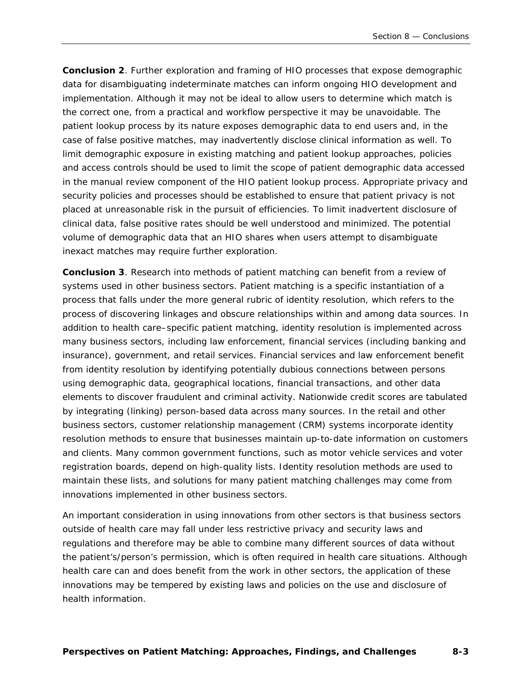**Conclusion 2**. Further exploration and framing of HIO processes that expose demographic data for disambiguating indeterminate matches can inform ongoing HIO development and implementation. Although it may not be ideal to allow users to determine which match is the correct one, from a practical and workflow perspective it may be unavoidable. The patient lookup process by its nature exposes demographic data to end users and, in the case of false positive matches, may inadvertently disclose clinical information as well. To limit demographic exposure in existing matching and patient lookup approaches, policies and access controls should be used to limit the scope of patient demographic data accessed in the manual review component of the HIO patient lookup process. Appropriate privacy and security policies and processes should be established to ensure that patient privacy is not placed at unreasonable risk in the pursuit of efficiencies. To limit inadvertent disclosure of clinical data, false positive rates should be well understood and minimized. The potential volume of demographic data that an HIO shares when users attempt to disambiguate inexact matches may require further exploration.

**Conclusion 3**. Research into methods of patient matching can benefit from a review of systems used in other business sectors. Patient matching is a specific instantiation of a process that falls under the more general rubric of *identity resolution*, which refers to the process of discovering linkages and obscure relationships within and among data sources. In addition to health care–specific patient matching, identity resolution is implemented across many business sectors, including law enforcement, financial services (including banking and insurance), government, and retail services. Financial services and law enforcement benefit from identity resolution by identifying potentially dubious connections between persons using demographic data, geographical locations, financial transactions, and other data elements to discover fraudulent and criminal activity. Nationwide credit scores are tabulated by integrating (linking) person-based data across many sources. In the retail and other business sectors, customer relationship management (CRM) systems incorporate identity resolution methods to ensure that businesses maintain up-to-date information on customers and clients. Many common government functions, such as motor vehicle services and voter registration boards, depend on high-quality lists. Identity resolution methods are used to maintain these lists, and solutions for many patient matching challenges may come from innovations implemented in other business sectors.

An important consideration in using innovations from other sectors is that business sectors outside of health care may fall under less restrictive privacy and security laws and regulations and therefore may be able to combine many different sources of data without the patient's/person's permission, which is often required in health care situations. Although health care can and does benefit from the work in other sectors, the application of these innovations may be tempered by existing laws and policies on the use and disclosure of health information.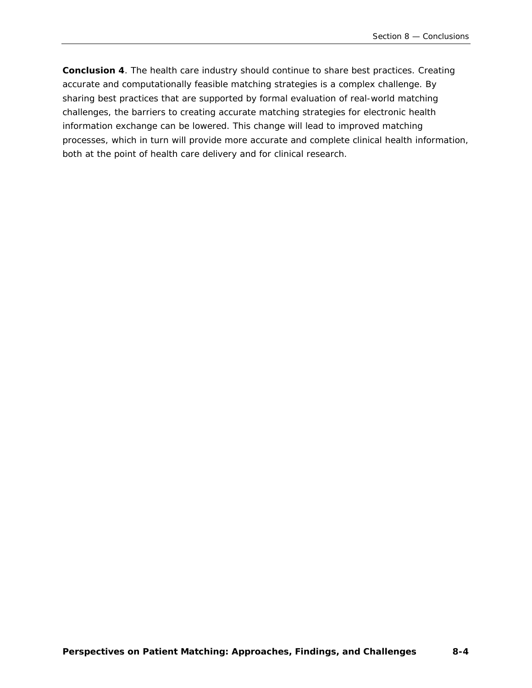**Conclusion 4**. The health care industry should continue to share best practices. Creating accurate and computationally feasible matching strategies is a complex challenge. By sharing best practices that are supported by formal evaluation of real-world matching challenges, the barriers to creating accurate matching strategies for electronic health information exchange can be lowered. This change will lead to improved matching processes, which in turn will provide more accurate and complete clinical health information, both at the point of health care delivery and for clinical research.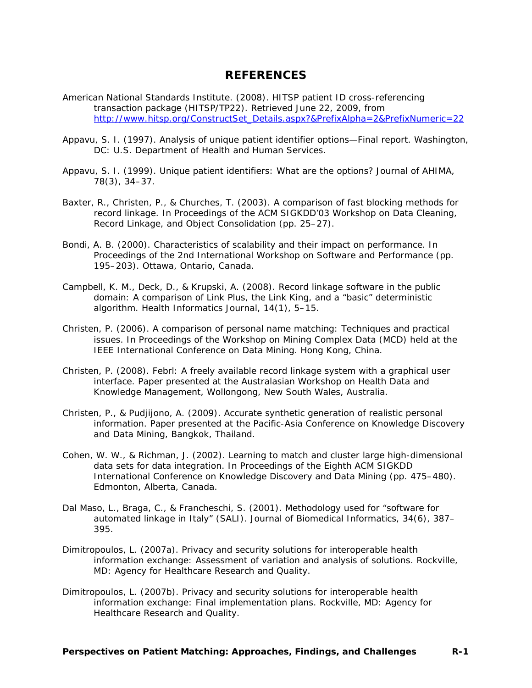#### **REFERENCES**

- <span id="page-50-0"></span>American National Standards Institute. (2008). *HITSP patient ID cross-referencing transaction package* (HITSP/TP22)*.* Retrieved June 22, 2009, from [http://www.hitsp.org/ConstructSet\\_Details.aspx?&PrefixAlpha=2&PrefixNumeric=22](http://www.hitsp.org/ConstructSet_Details.aspx?&PrefixAlpha=2&PrefixNumeric=22)
- Appavu, S. I. (1997). *Analysis of unique patient identifier options—Final report.* Washington, DC: U.S. Department of Health and Human Services.
- Appavu, S. I. (1999). Unique patient identifiers: What are the options? *Journal of AHIMA, 78*(3), 34–37.
- Baxter, R., Christen, P., & Churches, T. (2003). A comparison of fast blocking methods for record linkage. In *Proceedings of the ACM SIGKDD'03 Workshop on Data Cleaning, Record Linkage, and Object Consolidation* (pp. 25–27).
- Bondi, A. B. (2000). Characteristics of scalability and their impact on performance. In *Proceedings of the 2nd International Workshop on Software and Performance* (pp. 195–203). Ottawa, Ontario, Canada.
- Campbell, K. M., Deck, D., & Krupski, A. (2008). Record linkage software in the public domain: A comparison of Link Plus, the Link King, and a "basic" deterministic algorithm. *Health Informatics Journal, 14*(1), 5–15.
- Christen, P. (2006). A comparison of personal name matching: Techniques and practical issues. In *Proceedings of the Workshop on Mining Complex Data (MCD) held at the IEEE International Conference on Data Mining.* Hong Kong, China.
- Christen, P. (2008). *Febrl: A freely available record linkage system with a graphical user interface.* Paper presented at the Australasian Workshop on Health Data and Knowledge Management, Wollongong, New South Wales, Australia.
- Christen, P., & Pudjijono, A. (2009). *Accurate synthetic generation of realistic personal information.* Paper presented at the Pacific-Asia Conference on Knowledge Discovery and Data Mining, Bangkok, Thailand.
- Cohen, W. W., & Richman, J. (2002). Learning to match and cluster large high-dimensional data sets for data integration. In *Proceedings of the Eighth ACM SIGKDD International Conference on Knowledge Discovery and Data Mining (pp. 475–480).* Edmonton, Alberta, Canada.
- Dal Maso, L., Braga, C., & Francheschi, S. (2001). Methodology used for "software for automated linkage in Italy" (SALI). *Journal of Biomedical Informatics, 34*(6), 387– 395.
- Dimitropoulos, L. (2007a). *Privacy and security solutions for interoperable health information exchange: Assessment of variation and analysis of solutions.* Rockville, MD: Agency for Healthcare Research and Quality.
- Dimitropoulos, L. (2007b). *Privacy and security solutions for interoperable health information exchange: Final implementation plans.* Rockville, MD: Agency for Healthcare Research and Quality.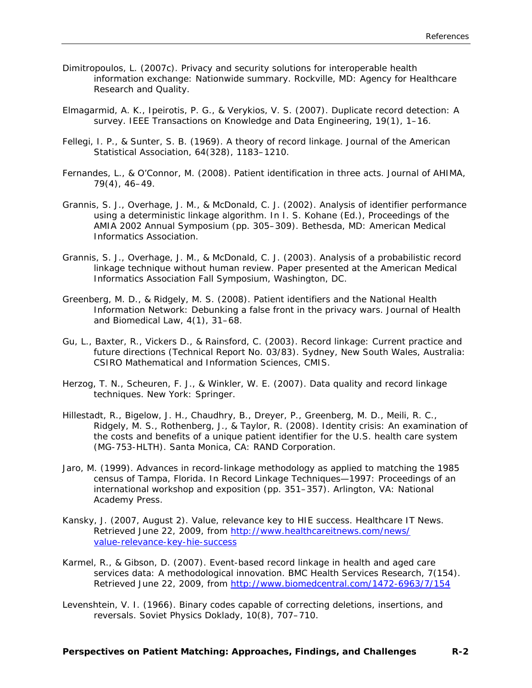- Dimitropoulos, L. (2007c). *Privacy and security solutions for interoperable health information exchange: Nationwide summary*. Rockville, MD: Agency for Healthcare Research and Quality.
- Elmagarmid, A. K., Ipeirotis, P. G., & Verykios, V. S. (2007). Duplicate record detection: A survey. *IEEE Transactions on Knowledge and Data Engineering*, *19*(1), 1–16.
- Fellegi, I. P., & Sunter, S. B. (1969). A theory of record linkage. *Journal of the American Statistical Association, 64*(328), 1183–1210.
- Fernandes, L., & O'Connor, M. (2008). Patient identification in three acts. *Journal of AHIMA, 79*(4), 46–49.
- Grannis, S. J., Overhage, J. M., & McDonald, C. J. (2002). Analysis of identifier performance using a deterministic linkage algorithm. In I. S. Kohane (Ed.), *Proceedings of the AMIA 2002 Annual Symposium* (pp. 305–309). Bethesda, MD: American Medical Informatics Association.
- Grannis, S. J., Overhage, J. M., & McDonald, C. J. (2003). *Analysis of a probabilistic record linkage technique without human review.* Paper presented at the American Medical Informatics Association Fall Symposium, Washington, DC.
- Greenberg, M. D., & Ridgely, M. S. (2008). Patient identifiers and the National Health Information Network: Debunking a false front in the privacy wars. *Journal of Health and Biomedical Law, 4*(1), 31–68.
- Gu, L., Baxter, R., Vickers D., & Rainsford, C. (2003). *Record linkage: Current practice and future directions* (Technical Report No. 03/83). Sydney, New South Wales, Australia: CSIRO Mathematical and Information Sciences, CMIS.
- Herzog, T. N., Scheuren, F. J., & Winkler, W. E. (2007). *Data quality and record linkage techniques.* New York: Springer.
- Hillestadt, R., Bigelow, J. H., Chaudhry, B., Dreyer, P., Greenberg, M. D., Meili, R. C., Ridgely, M. S., Rothenberg, J., & Taylor, R. (2008). *Identity crisis: An examination of the costs and benefits of a unique patient identifier for the U.S. health care system* (MG-753-HLTH). Santa Monica, CA: RAND Corporation.
- Jaro, M. (1999). Advances in record-linkage methodology as applied to matching the 1985 census of Tampa, Florida. In *Record Linkage Techniques—1997: Proceedings of an international workshop and exposition* (pp. 351–357). Arlington, VA: National Academy Press.
- Kansky, J. (2007, August 2). Value, relevance key to HIE success. *Healthcare IT News*. Retrieved June 22, 2009, from [http://www.healthcareitnews.com/news/](http://www.healthcareitnews.com/news/value-relevance-key-hie-success) [value-relevance-key-hie-success](http://www.healthcareitnews.com/news/value-relevance-key-hie-success)
- Karmel, R., & Gibson, D. (2007). Event-based record linkage in health and aged care services data: A methodological innovation. *BMC Health Services Research, 7*(154). Retrieved June 22, 2009, from <http://www.biomedcentral.com/1472-6963/7/154>
- Levenshtein, V. I. (1966). Binary codes capable of correcting deletions, insertions, and reversals. *Soviet Physics Doklady, 10*(8), 707–710.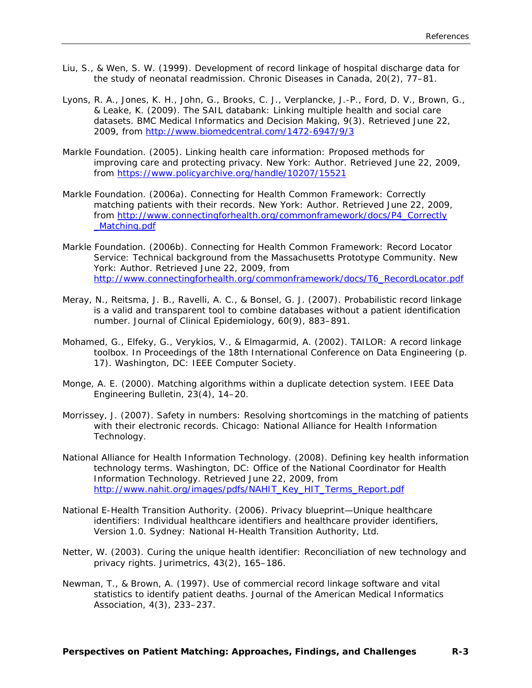- Liu, S., & Wen, S. W. (1999). Development of record linkage of hospital discharge data for the study of neonatal readmission. *Chronic Diseases in Canada, 20*(2), 77–81.
- Lyons, R. A., Jones, K. H., John, G., Brooks, C. J., Verplancke, J.-P., Ford, D. V., Brown, G., & Leake, K. (2009). The SAIL databank: Linking multiple health and social care datasets. *BMC Medical Informatics and Decision Making, 9*(3). Retrieved June 22, 2009, from <http://www.biomedcentral.com/1472-6947/9/3>
- Markle Foundation. (2005). *Linking health care information: Proposed methods for improving care and protecting privacy.* New York: Author. Retrieved June 22, 2009, from<https://www.policyarchive.org/handle/10207/15521>
- Markle Foundation. (2006a). *Connecting for Health Common Framework: Correctly matching patients with their records.* New York: Author. Retrieved June 22, 2009, from [http://www.connectingforhealth.org/commonframework/docs/P4\\_Correctly](http://www.connectingforhealth.org/commonframework/docs/P4_Correctly_Matching.pdf) [\\_Matching.pdf](http://www.connectingforhealth.org/commonframework/docs/P4_Correctly_Matching.pdf)
- Markle Foundation. (2006b). *Connecting for Health Common Framework: Record Locator Service: Technical background from the Massachusetts Prototype Community.* New York: Author. Retrieved June 22, 2009, from [http://www.connectingforhealth.org/commonframework/docs/T6\\_RecordLocator.pdf](http://www.connectingforhealth.org/commonframework/docs/T6_RecordLocator.pdf)
- Meray, N., Reitsma, J. B., Ravelli, A. C., & Bonsel, G. J. (2007). Probabilistic record linkage is a valid and transparent tool to combine databases without a patient identification number. *Journal of Clinical Epidemiology, 60*(9), 883–891.
- Mohamed, G., Elfeky, G., Verykios, V., & Elmagarmid, A. (2002). TAILOR: A record linkage toolbox. In *Proceedings of the 18th International Conference on Data Engineering* (p. 17). Washington, DC: IEEE Computer Society.
- Monge, A. E. (2000). Matching algorithms within a duplicate detection system. *IEEE Data Engineering Bulletin, 23*(4), 14–20.
- Morrissey, J. (2007). *Safety in numbers: Resolving shortcomings in the matching of patients with their electronic records.* Chicago: National Alliance for Health Information Technology.
- National Alliance for Health Information Technology. (2008). *Defining key health information technology terms.* Washington, DC: Office of the National Coordinator for Health Information Technology. Retrieved June 22, 2009, from [http://www.nahit.org/images/pdfs/NAHIT\\_Key\\_HIT\\_Terms\\_Report.pdf](http://www.nahit.org/images/pdfs/NAHIT_Key_HIT_Terms_Report.pdf)
- National E-Health Transition Authority. (2006). *Privacy blueprint—Unique healthcare identifiers: Individual healthcare identifiers and healthcare provider identifiers, Version 1.0.* Sydney: National H-Health Transition Authority, Ltd.
- Netter, W. (2003). Curing the unique health identifier: Reconciliation of new technology and privacy rights. *Jurimetrics, 43*(2), 165–186.
- Newman, T., & Brown, A. (1997). Use of commercial record linkage software and vital statistics to identify patient deaths. *Journal of the American Medical Informatics Association, 4*(3), 233–237.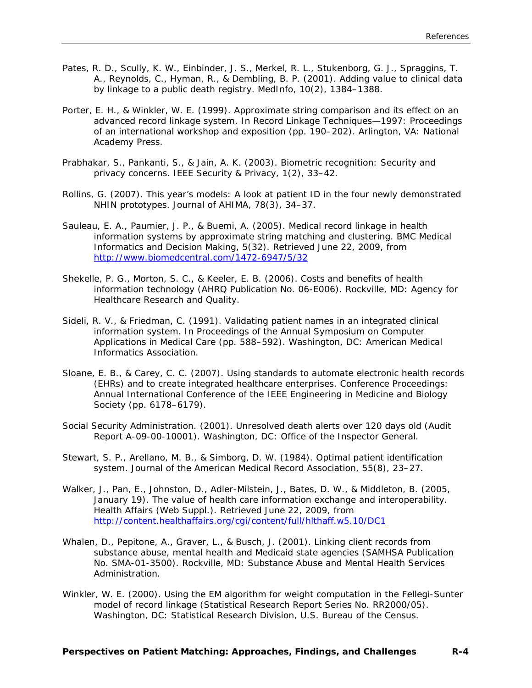- Pates, R. D., Scully, K. W., Einbinder, J. S., Merkel, R. L., Stukenborg, G. J., Spraggins, T. A., Reynolds, C., Hyman, R., & Dembling, B. P. (2001). Adding value to clinical data by linkage to a public death registry. *MedInfo, 10*(2), 1384–1388.
- Porter, E. H., & Winkler, W. E. (1999). Approximate string comparison and its effect on an advanced record linkage system. In *Record Linkage Techniques—1997: Proceedings of an international workshop and exposition* (pp. 190–202). Arlington, VA: National Academy Press.
- Prabhakar, S., Pankanti, S., & Jain, A. K. (2003). Biometric recognition: Security and privacy concerns. *IEEE Security & Privacy, 1*(2), 33–42.
- Rollins, G. (2007). This year's models: A look at patient ID in the four newly demonstrated NHIN prototypes. *Journal of AHIMA, 78*(3), 34–37.
- Sauleau, E. A., Paumier, J. P., & Buemi, A. (2005). Medical record linkage in health information systems by approximate string matching and clustering. *BMC Medical Informatics and Decision Making, 5*(32). Retrieved June 22, 2009, from <http://www.biomedcentral.com/1472-6947/5/32>
- Shekelle, P. G., Morton, S. C., & Keeler, E. B. (2006). *Costs and benefits of health information technology* (AHRQ Publication No. 06-E006). Rockville, MD: Agency for Healthcare Research and Quality.
- Sideli, R. V., & Friedman, C. (1991). Validating patient names in an integrated clinical information system. In *Proceedings of the Annual Symposium on Computer Applications in Medical Care* (pp. 588–592). Washington, DC: American Medical Informatics Association.
- Sloane, E. B., & Carey, C. C. (2007). Using standards to automate electronic health records (EHRs) and to create integrated healthcare enterprises. *Conference Proceedings: Annual International Conference of the IEEE Engineering in Medicine and Biology Society* (pp. 6178–6179).
- Social Security Administration. (2001). *Unresolved death alerts over 120 days old* (Audit Report A-09-00-10001). Washington, DC: Office of the Inspector General.
- Stewart, S. P., Arellano, M. B., & Simborg, D. W. (1984). Optimal patient identification system. *Journal of the American Medical Record Association, 55*(8), 23–27.
- Walker, J., Pan, E., Johnston, D., Adler-Milstein, J., Bates, D. W., & Middleton, B. (2005, January 19). The value of health care information exchange and interoperability. *Health Affairs* (Web Suppl.). Retrieved June 22, 2009, from <http://content.healthaffairs.org/cgi/content/full/hlthaff.w5.10/DC1>
- Whalen, D., Pepitone, A., Graver, L., & Busch, J. (2001). *Linking client records from substance abuse, mental health and Medicaid state agencies* (SAMHSA Publication No. SMA-01-3500). Rockville, MD: Substance Abuse and Mental Health Services Administration.
- Winkler, W. E. (2000). *Using the EM algorithm for weight computation in the Fellegi-Sunter model of record linkage* (Statistical Research Report Series No. RR2000/05). Washington, DC: Statistical Research Division, U.S. Bureau of the Census.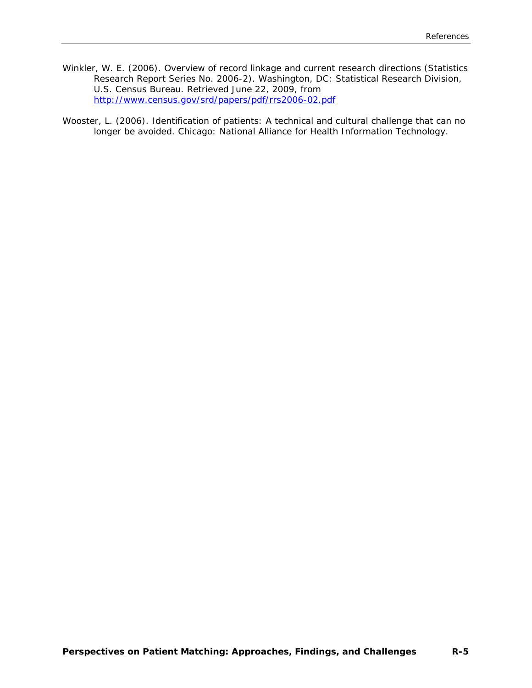Winkler, W. E. (2006). *Overview of record linkage and current research directions* (Statistics Research Report Series No. 2006-2). Washington, DC: Statistical Research Division, U.S. Census Bureau. Retrieved June 22, 2009, from <http://www.census.gov/srd/papers/pdf/rrs2006-02.pdf>

Wooster, L. (2006). *Identification of patients: A technical and cultural challenge that can no longer be avoided.* Chicago: National Alliance for Health Information Technology.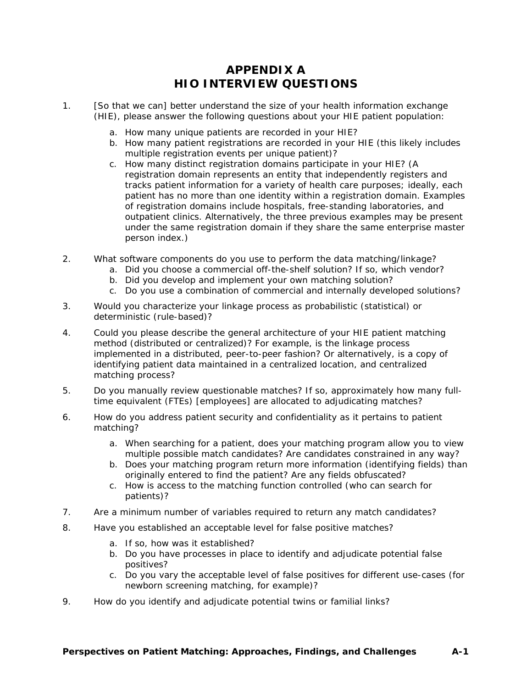# **APPENDIX A HIO INTERVIEW QUESTIONS**

- <span id="page-55-0"></span>1. [So that we can] better understand the size of your health information exchange (HIE), please answer the following questions about your HIE patient population:
	- a. How many unique patients are recorded in your HIE?
	- b. How many patient registrations are recorded in your HIE (this likely includes multiple registration events per unique patient)?
	- c. How many distinct registration domains participate in your HIE? (A registration domain represents an entity that independently registers and tracks patient information for a variety of health care purposes; ideally, each patient has no more than one identity within a registration domain. Examples of registration domains include hospitals, free-standing laboratories, and outpatient clinics. Alternatively, the three previous examples may be present under the same registration domain if they share the same enterprise master person index.)
- 2. What software components do you use to perform the data matching/linkage?
	- a. Did you choose a commercial off-the-shelf solution? If so, which vendor?
	- b. Did you develop and implement your own matching solution?
	- c. Do you use a combination of commercial and internally developed solutions?
- 3. Would you characterize your linkage process as probabilistic (statistical) or deterministic (rule-based)?
- 4. Could you please describe the general architecture of your HIE patient matching method (distributed or centralized)? For example, is the linkage process implemented in a distributed, peer-to-peer fashion? Or alternatively, is a copy of identifying patient data maintained in a centralized location, and centralized matching process?
- 5. Do you manually review questionable matches? If so, approximately how many fulltime equivalent (FTEs) [employees] are allocated to adjudicating matches?
- 6. How do you address patient security and confidentiality as it pertains to patient matching?
	- a. When searching for a patient, does your matching program allow you to view multiple possible match candidates? Are candidates constrained in any way?
	- b. Does your matching program return more information (identifying fields) than originally entered to find the patient? Are any fields obfuscated?
	- c. How is access to the matching function controlled (who can search for patients)?
- 7. Are a minimum number of variables required to return any match candidates?
- 8. Have you established an acceptable level for false positive matches?
	- a. If so, how was it established?
	- b. Do you have processes in place to identify and adjudicate potential false positives?
	- c. Do you vary the acceptable level of false positives for different use-cases (for newborn screening matching, for example)?
- 9. How do you identify and adjudicate potential twins or familial links?